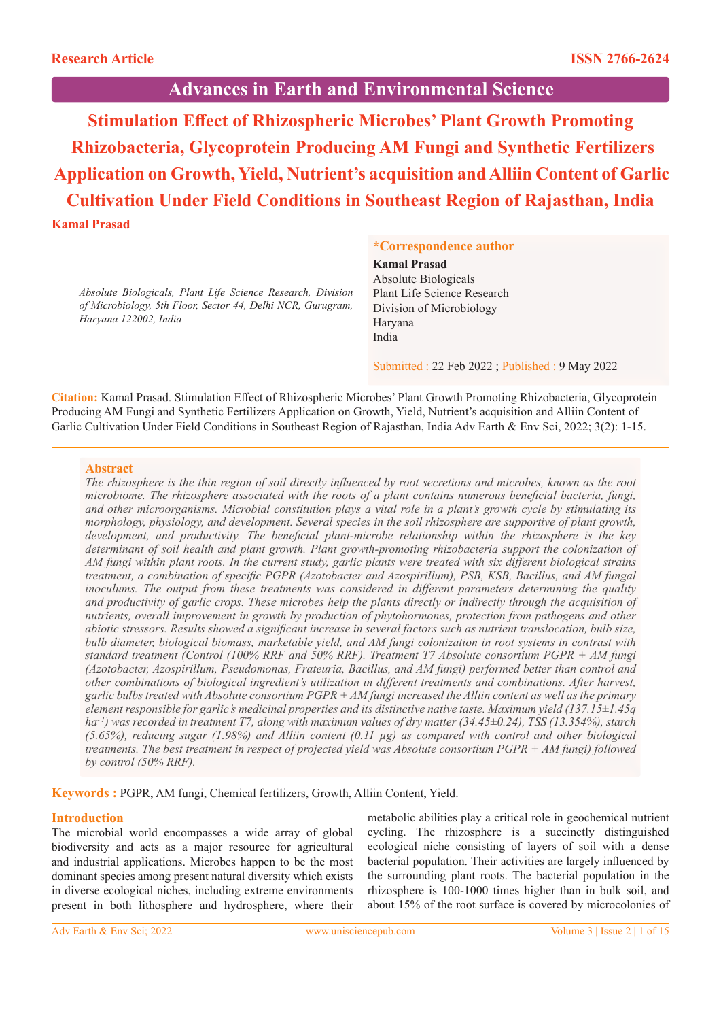# **Advances in Earth and Environmental Science**

**Stimulation Effect of Rhizospheric Microbes' Plant Growth Promoting Rhizobacteria, Glycoprotein Producing AM Fungi and Synthetic Fertilizers Application on Growth, Yield, Nutrient's acquisition and Alliin Content of Garlic Cultivation Under Field Conditions in Southeast Region of Rajasthan, India Kamal Prasad**

*Absolute Biologicals, Plant Life Science Research, Division of Microbiology, 5th Floor, Sector 44, Delhi NCR, Gurugram, Haryana 122002, India*

# **\*Correspondence author**

#### **Kamal Prasad**

Absolute Biologicals Plant Life Science Research Division of Microbiology Haryana India

Submitted : 22 Feb 2022 ; Published : 9 May 2022

**Citation:** Kamal Prasad. Stimulation Effect of Rhizospheric Microbes' Plant Growth Promoting Rhizobacteria, Glycoprotein Producing AM Fungi and Synthetic Fertilizers Application on Growth, Yield, Nutrient's acquisition and Alliin Content of Garlic Cultivation Under Field Conditions in Southeast Region of Rajasthan, India Adv Earth & Env Sci, 2022; 3(2): 1-15.

## **Abstract**

*The rhizosphere is the thin region of soil directly influenced by root secretions and microbes, known as the root microbiome. The rhizosphere associated with the roots of a plant contains numerous beneficial bacteria, fungi, and other microorganisms. Microbial constitution plays a vital role in a plant's growth cycle by stimulating its morphology, physiology, and development. Several species in the soil rhizosphere are supportive of plant growth, development, and productivity. The beneficial plant-microbe relationship within the rhizosphere is the key*  determinant of soil health and plant growth. Plant growth-promoting rhizobacteria support the colonization of *AM fungi within plant roots. In the current study, garlic plants were treated with six different biological strains treatment, a combination of specific PGPR (Azotobacter and Azospirillum), PSB, KSB, Bacillus, and AM fungal inoculums. The output from these treatments was considered in different parameters determining the quality and productivity of garlic crops. These microbes help the plants directly or indirectly through the acquisition of nutrients, overall improvement in growth by production of phytohormones, protection from pathogens and other abiotic stressors. Results showed a significant increase in several factors such as nutrient translocation, bulb size, bulb diameter, biological biomass, marketable yield, and AM fungi colonization in root systems in contrast with standard treatment (Control (100% RRF and 50% RRF). Treatment T7 Absolute consortium PGPR + AM fungi (Azotobacter, Azospirillum, Pseudomonas, Frateuria, Bacillus, and AM fungi) performed better than control and other combinations of biological ingredient's utilization in different treatments and combinations. After harvest, garlic bulbs treated with Absolute consortium PGPR + AM fungi increased the Alliin content as well as the primary element responsible for garlic's medicinal properties and its distinctive native taste. Maximum yield (137.15±1.45q ha- 1) was recorded in treatment T7, along with maximum values of dry matter (34.45±0.24), TSS (13.354%), starch (5.65%), reducing sugar (1.98%) and Alliin content (0.11 µg) as compared with control and other biological treatments. The best treatment in respect of projected yield was Absolute consortium PGPR + AM fungi) followed by control (50% RRF).*

**Keywords :** PGPR, AM fungi, Chemical fertilizers, Growth, Alliin Content, Yield.

## **Introduction**

The microbial world encompasses a wide array of global biodiversity and acts as a major resource for agricultural and industrial applications. Microbes happen to be the most dominant species among present natural diversity which exists in diverse ecological niches, including extreme environments present in both lithosphere and hydrosphere, where their metabolic abilities play a critical role in geochemical nutrient cycling. The rhizosphere is a succinctly distinguished ecological niche consisting of layers of soil with a dense bacterial population. Their activities are largely influenced by the surrounding plant roots. The bacterial population in the rhizosphere is 100-1000 times higher than in bulk soil, and about 15% of the root surface is covered by microcolonies of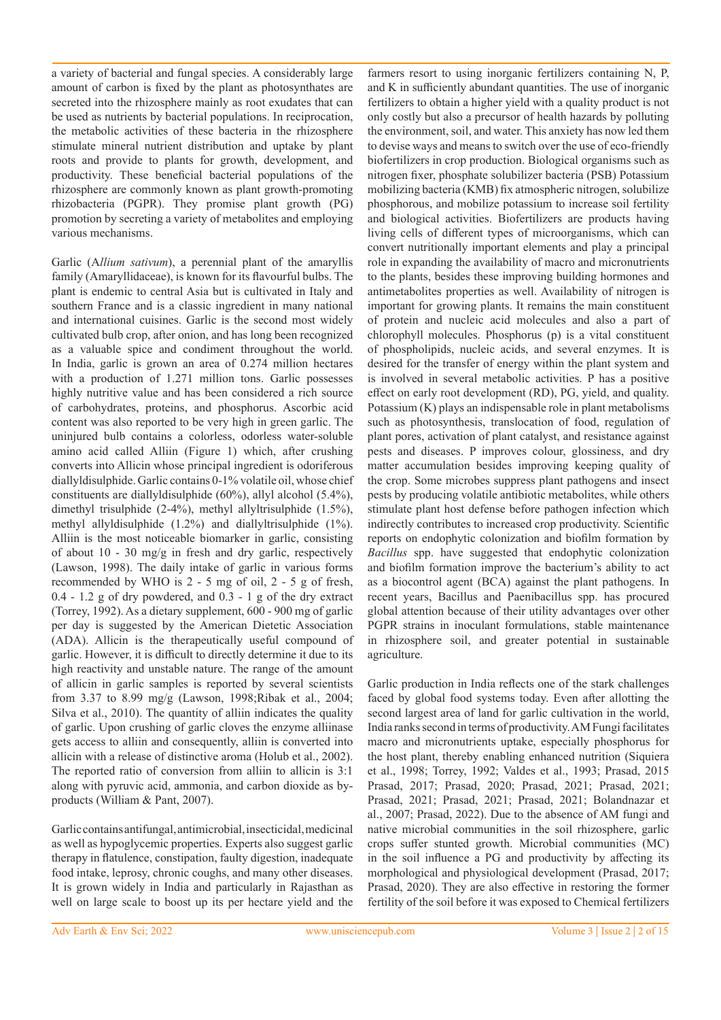a variety of bacterial and fungal species. A considerably large amount of carbon is fixed by the plant as photosynthates are secreted into the rhizosphere mainly as root exudates that can be used as nutrients by bacterial populations. In reciprocation, the metabolic activities of these bacteria in the rhizosphere stimulate mineral nutrient distribution and uptake by plant roots and provide to plants for growth, development, and productivity. These beneficial bacterial populations of the rhizosphere are commonly known as plant growth-promoting rhizobacteria (PGPR). They promise plant growth (PG) promotion by secreting a variety of metabolites and employing various mechanisms.

Garlic (A*llium sativum*), a perennial plant of the amaryllis family (Amaryllidaceae), is known for its flavourful bulbs. The plant is endemic to central Asia but is cultivated in Italy and southern France and is a classic ingredient in many national and international cuisines. Garlic is the second most widely cultivated bulb crop, after onion, and has long been recognized as a valuable spice and condiment throughout the world. In India, garlic is grown an area of 0.274 million hectares with a production of 1.271 million tons. Garlic possesses highly nutritive value and has been considered a rich source of carbohydrates, proteins, and phosphorus. Ascorbic acid content was also reported to be very high in green garlic. The uninjured bulb contains a colorless, odorless water-soluble amino acid called Alliin (Figure 1) which, after crushing converts into Allicin whose principal ingredient is odoriferous diallyldisulphide. Garlic contains 0-1% volatile oil, whose chief constituents are diallyldisulphide (60%), allyl alcohol (5.4%), dimethyl trisulphide (2-4%), methyl allyltrisulphide (1.5%), methyl allyldisulphide (1.2%) and diallyltrisulphide (1%). Alliin is the most noticeable biomarker in garlic, consisting of about 10 - 30 mg/g in fresh and dry garlic, respectively (Lawson, 1998). The daily intake of garlic in various forms recommended by WHO is 2 - 5 mg of oil, 2 - 5 g of fresh, 0.4 - 1.2 g of dry powdered, and 0.3 - 1 g of the dry extract (Torrey, 1992). As a dietary supplement, 600 - 900 mg of garlic per day is suggested by the American Dietetic Association (ADA). Allicin is the therapeutically useful compound of garlic. However, it is difficult to directly determine it due to its high reactivity and unstable nature. The range of the amount of allicin in garlic samples is reported by several scientists from 3.37 to 8.99 mg/g (Lawson, 1998;Ribak et al., 2004; Silva et al., 2010). The quantity of alliin indicates the quality of garlic. Upon crushing of garlic cloves the enzyme alliinase gets access to alliin and consequently, alliin is converted into allicin with a release of distinctive aroma (Holub et al., 2002). The reported ratio of conversion from alliin to allicin is 3:1 along with pyruvic acid, ammonia, and carbon dioxide as byproducts (William & Pant, 2007).

Garlic contains antifungal, antimicrobial, insecticidal, medicinal as well as hypoglycemic properties. Experts also suggest garlic therapy in flatulence, constipation, faulty digestion, inadequate food intake, leprosy, chronic coughs, and many other diseases. It is grown widely in India and particularly in Rajasthan as well on large scale to boost up its per hectare yield and the farmers resort to using inorganic fertilizers containing N, P, and K in sufficiently abundant quantities. The use of inorganic fertilizers to obtain a higher yield with a quality product is not only costly but also a precursor of health hazards by polluting the environment, soil, and water. This anxiety has now led them to devise ways and means to switch over the use of eco-friendly biofertilizers in crop production. Biological organisms such as nitrogen fixer, phosphate solubilizer bacteria (PSB) Potassium mobilizing bacteria (KMB) fix atmospheric nitrogen, solubilize phosphorous, and mobilize potassium to increase soil fertility and biological activities. Biofertilizers are products having living cells of different types of microorganisms, which can convert nutritionally important elements and play a principal role in expanding the availability of macro and micronutrients to the plants, besides these improving building hormones and antimetabolites properties as well. Availability of nitrogen is important for growing plants. It remains the main constituent of protein and nucleic acid molecules and also a part of chlorophyll molecules. Phosphorus (p) is a vital constituent of phospholipids, nucleic acids, and several enzymes. It is desired for the transfer of energy within the plant system and is involved in several metabolic activities. P has a positive effect on early root development (RD), PG, yield, and quality. Potassium (K) plays an indispensable role in plant metabolisms such as photosynthesis, translocation of food, regulation of plant pores, activation of plant catalyst, and resistance against pests and diseases. P improves colour, glossiness, and dry matter accumulation besides improving keeping quality of the crop. Some microbes suppress plant pathogens and insect pests by producing volatile antibiotic metabolites, while others stimulate plant host defense before pathogen infection which indirectly contributes to increased crop productivity. Scientific reports on endophytic colonization and biofilm formation by *Bacillus* spp. have suggested that endophytic colonization and biofilm formation improve the bacterium's ability to act as a biocontrol agent (BCA) against the plant pathogens. In recent years, Bacillus and Paenibacillus spp. has procured global attention because of their utility advantages over other PGPR strains in inoculant formulations, stable maintenance in rhizosphere soil, and greater potential in sustainable agriculture.

Garlic production in India reflects one of the stark challenges faced by global food systems today. Even after allotting the second largest area of land for garlic cultivation in the world, India ranks second in terms of productivity. AM Fungi facilitates macro and micronutrients uptake, especially phosphorus for the host plant, thereby enabling enhanced nutrition (Siquiera et al., 1998; Torrey, 1992; Valdes et al., 1993; Prasad, 2015 Prasad, 2017; Prasad, 2020; Prasad, 2021; Prasad, 2021; Prasad, 2021; Prasad, 2021; Prasad, 2021; Bolandnazar et al., 2007; Prasad, 2022). Due to the absence of AM fungi and native microbial communities in the soil rhizosphere, garlic crops suffer stunted growth. Microbial communities (MC) in the soil influence a PG and productivity by affecting its morphological and physiological development (Prasad, 2017; Prasad, 2020). They are also effective in restoring the former fertility of the soil before it was exposed to Chemical fertilizers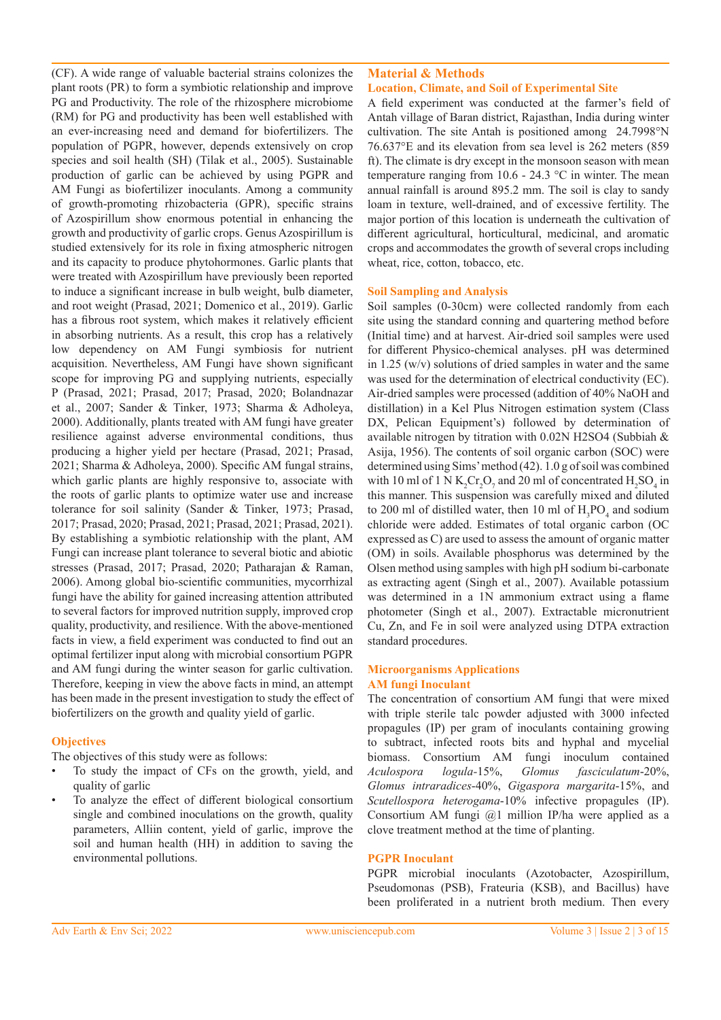(CF). A wide range of valuable bacterial strains colonizes the plant roots (PR) to form a symbiotic relationship and improve PG and Productivity. The role of the rhizosphere microbiome (RM) for PG and productivity has been well established with an ever-increasing need and demand for biofertilizers. The population of PGPR, however, depends extensively on crop species and soil health (SH) (Tilak et al., 2005). Sustainable production of garlic can be achieved by using PGPR and AM Fungi as biofertilizer inoculants. Among a community of growth-promoting rhizobacteria (GPR), specific strains of Azospirillum show enormous potential in enhancing the growth and productivity of garlic crops. Genus Azospirillum is studied extensively for its role in fixing atmospheric nitrogen and its capacity to produce phytohormones. Garlic plants that were treated with Azospirillum have previously been reported to induce a significant increase in bulb weight, bulb diameter, and root weight (Prasad, 2021; Domenico et al., 2019). Garlic has a fibrous root system, which makes it relatively efficient in absorbing nutrients. As a result, this crop has a relatively low dependency on AM Fungi symbiosis for nutrient acquisition. Nevertheless, AM Fungi have shown significant scope for improving PG and supplying nutrients, especially P (Prasad, 2021; Prasad, 2017; Prasad, 2020; Bolandnazar et al., 2007; Sander & Tinker, 1973; Sharma & Adholeya, 2000). Additionally, plants treated with AM fungi have greater resilience against adverse environmental conditions, thus producing a higher yield per hectare (Prasad, 2021; Prasad, 2021; Sharma & Adholeya, 2000). Specific AM fungal strains, which garlic plants are highly responsive to, associate with the roots of garlic plants to optimize water use and increase tolerance for soil salinity (Sander & Tinker, 1973; Prasad, 2017; Prasad, 2020; Prasad, 2021; Prasad, 2021; Prasad, 2021). By establishing a symbiotic relationship with the plant, AM Fungi can increase plant tolerance to several biotic and abiotic stresses (Prasad, 2017; Prasad, 2020; Patharajan & Raman, 2006). Among global bio-scientific communities, mycorrhizal fungi have the ability for gained increasing attention attributed to several factors for improved nutrition supply, improved crop quality, productivity, and resilience. With the above-mentioned facts in view, a field experiment was conducted to find out an optimal fertilizer input along with microbial consortium PGPR and AM fungi during the winter season for garlic cultivation. Therefore, keeping in view the above facts in mind, an attempt has been made in the present investigation to study the effect of biofertilizers on the growth and quality yield of garlic.

# **Objectives**

The objectives of this study were as follows:

- To study the impact of CFs on the growth, yield, and quality of garlic
- To analyze the effect of different biological consortium single and combined inoculations on the growth, quality parameters, Alliin content, yield of garlic, improve the soil and human health (HH) in addition to saving the environmental pollutions.

# **Material & Methods**

# **Location, Climate, and Soil of Experimental Site**

A field experiment was conducted at the farmer's field of Antah village of Baran district, Rajasthan, India during winter cultivation. The site Antah is positioned among 24.7998°N 76.637°E and its elevation from sea level is 262 meters (859 ft). The climate is dry except in the monsoon season with mean temperature ranging from 10.6 - 24.3  $\degree$ C in winter. The mean annual rainfall is around 895.2 mm. The soil is clay to sandy loam in texture, well-drained, and of excessive fertility. The major portion of this location is underneath the cultivation of different agricultural, horticultural, medicinal, and aromatic crops and accommodates the growth of several crops including wheat, rice, cotton, tobacco, etc.

## **Soil Sampling and Analysis**

Soil samples (0-30cm) were collected randomly from each site using the standard conning and quartering method before (Initial time) and at harvest. Air-dried soil samples were used for different Physico-chemical analyses. pH was determined in 1.25 (w/v) solutions of dried samples in water and the same was used for the determination of electrical conductivity (EC). Air-dried samples were processed (addition of 40% NaOH and distillation) in a Kel Plus Nitrogen estimation system (Class DX, Pelican Equipment's) followed by determination of available nitrogen by titration with 0.02N H2SO4 (Subbiah & Asija, 1956). The contents of soil organic carbon (SOC) were determined using Sims' method (42). 1.0 g of soil was combined with 10 ml of 1 N  $K_2$ Cr<sub>2</sub>O<sub>7</sub> and 20 ml of concentrated  $H_2$ SO<sub>4</sub> in this manner. This suspension was carefully mixed and diluted to 200 ml of distilled water, then 10 ml of  $H_3PO_4$  and sodium chloride were added. Estimates of total organic carbon (OC expressed as C) are used to assess the amount of organic matter (OM) in soils. Available phosphorus was determined by the Olsen method using samples with high pH sodium bi-carbonate as extracting agent (Singh et al., 2007). Available potassium was determined in a 1N ammonium extract using a flame photometer (Singh et al., 2007). Extractable micronutrient Cu, Zn, and Fe in soil were analyzed using DTPA extraction standard procedures.

## **Microorganisms Applications AM fungi Inoculant**

The concentration of consortium AM fungi that were mixed with triple sterile talc powder adjusted with 3000 infected propagules (IP) per gram of inoculants containing growing to subtract, infected roots bits and hyphal and mycelial biomass. Consortium AM fungi inoculum contained *Aculospora logula-*15%, *Glomus fasciculatum*-20%, *Glomus intraradices*-40%, *Gigaspora margarita*-15%, and *Scutellospora heterogama*-10% infective propagules (IP). Consortium AM fungi @1 million IP/ha were applied as a clove treatment method at the time of planting.

## **PGPR Inoculant**

PGPR microbial inoculants (Azotobacter, Azospirillum, Pseudomonas (PSB), Frateuria (KSB), and Bacillus) have been proliferated in a nutrient broth medium. Then every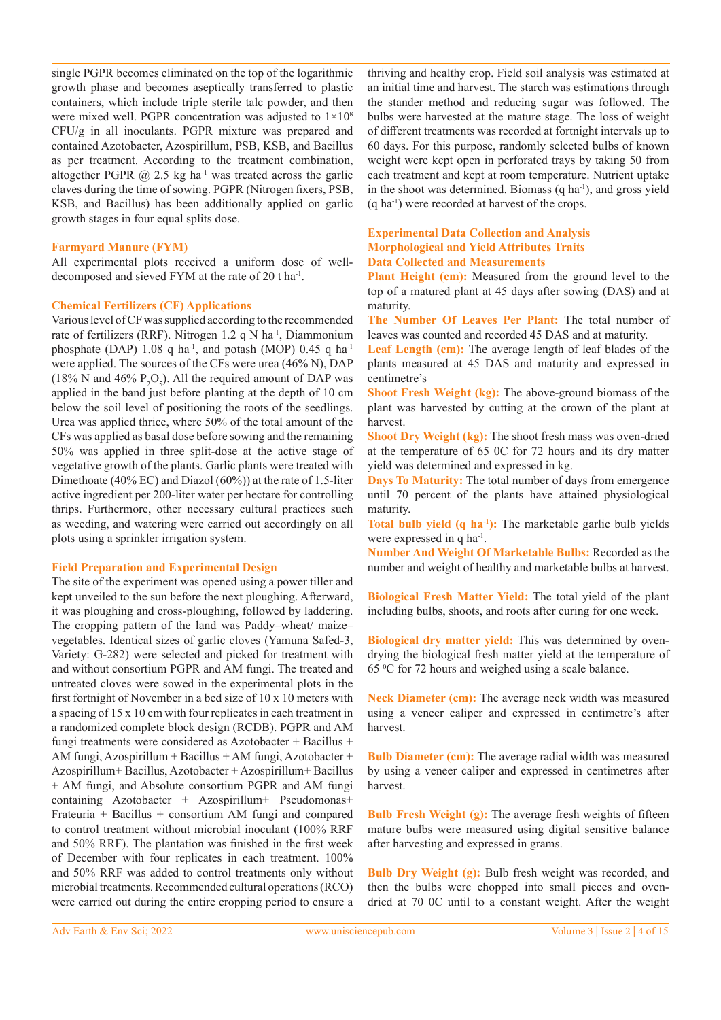single PGPR becomes eliminated on the top of the logarithmic growth phase and becomes aseptically transferred to plastic containers, which include triple sterile talc powder, and then were mixed well. PGPR concentration was adjusted to 1×108 CFU/g in all inoculants. PGPR mixture was prepared and contained Azotobacter, Azospirillum, PSB, KSB, and Bacillus as per treatment. According to the treatment combination, altogether PGPR  $\omega$  2.5 kg ha<sup>-1</sup> was treated across the garlic claves during the time of sowing. PGPR (Nitrogen fixers, PSB, KSB, and Bacillus) has been additionally applied on garlic growth stages in four equal splits dose.

#### **Farmyard Manure (FYM)**

All experimental plots received a uniform dose of welldecomposed and sieved FYM at the rate of 20 t ha-1.

#### **Chemical Fertilizers (CF) Applications**

Various level of CF was supplied according to the recommended rate of fertilizers (RRF). Nitrogen 1.2 q N ha<sup>-1</sup>, Diammonium phosphate (DAP) 1.08 q ha<sup>-1</sup>, and potash (MOP) 0.45 q ha<sup>-1</sup> were applied. The sources of the CFs were urea (46% N), DAP (18% N and 46%  $P_2O_5$ ). All the required amount of DAP was applied in the band just before planting at the depth of 10 cm below the soil level of positioning the roots of the seedlings. Urea was applied thrice, where 50% of the total amount of the CFs was applied as basal dose before sowing and the remaining 50% was applied in three split-dose at the active stage of vegetative growth of the plants. Garlic plants were treated with Dimethoate (40% EC) and Diazol (60%)) at the rate of 1.5-liter active ingredient per 200-liter water per hectare for controlling thrips. Furthermore, other necessary cultural practices such as weeding, and watering were carried out accordingly on all plots using a sprinkler irrigation system.

#### **Field Preparation and Experimental Design**

The site of the experiment was opened using a power tiller and kept unveiled to the sun before the next ploughing. Afterward, it was ploughing and cross-ploughing, followed by laddering. The cropping pattern of the land was Paddy–wheat/ maize– vegetables. Identical sizes of garlic cloves (Yamuna Safed-3, Variety: G-282) were selected and picked for treatment with and without consortium PGPR and AM fungi. The treated and untreated cloves were sowed in the experimental plots in the first fortnight of November in a bed size of 10 x 10 meters with a spacing of 15 x 10 cm with four replicates in each treatment in a randomized complete block design (RCDB). PGPR and AM fungi treatments were considered as Azotobacter + Bacillus + AM fungi, Azospirillum + Bacillus + AM fungi, Azotobacter + Azospirillum+ Bacillus, Azotobacter + Azospirillum+ Bacillus + AM fungi, and Absolute consortium PGPR and AM fungi containing Azotobacter + Azospirillum+ Pseudomonas+ Frateuria + Bacillus + consortium AM fungi and compared to control treatment without microbial inoculant (100% RRF and 50% RRF). The plantation was finished in the first week of December with four replicates in each treatment. 100% and 50% RRF was added to control treatments only without microbial treatments. Recommended cultural operations (RCO) were carried out during the entire cropping period to ensure a thriving and healthy crop. Field soil analysis was estimated at an initial time and harvest. The starch was estimations through the stander method and reducing sugar was followed. The bulbs were harvested at the mature stage. The loss of weight of different treatments was recorded at fortnight intervals up to 60 days. For this purpose, randomly selected bulbs of known weight were kept open in perforated trays by taking 50 from each treatment and kept at room temperature. Nutrient uptake in the shoot was determined. Biomass  $(q \text{ ha}^{-1})$ , and gross yield (q ha-1) were recorded at harvest of the crops.

## **Experimental Data Collection and Analysis Morphological and Yield Attributes Traits Data Collected and Measurements**

Plant Height (cm): Measured from the ground level to the top of a matured plant at 45 days after sowing (DAS) and at maturity.

**The Number Of Leaves Per Plant:** The total number of leaves was counted and recorded 45 DAS and at maturity.

Leaf Length (cm): The average length of leaf blades of the plants measured at 45 DAS and maturity and expressed in centimetre's

**Shoot Fresh Weight (kg):** The above-ground biomass of the plant was harvested by cutting at the crown of the plant at harvest.

**Shoot Dry Weight (kg):** The shoot fresh mass was oven-dried at the temperature of 65 0C for 72 hours and its dry matter yield was determined and expressed in kg.

**Days To Maturity:** The total number of days from emergence until 70 percent of the plants have attained physiological maturity.

**Total bulb yield (q ha<sup>-1</sup>):** The marketable garlic bulb yields were expressed in q ha<sup>-1</sup>.

**Number And Weight Of Marketable Bulbs:** Recorded as the number and weight of healthy and marketable bulbs at harvest.

**Biological Fresh Matter Yield:** The total yield of the plant including bulbs, shoots, and roots after curing for one week.

**Biological dry matter yield:** This was determined by ovendrying the biological fresh matter yield at the temperature of 65 <sup>0</sup> C for 72 hours and weighed using a scale balance.

**Neck Diameter (cm):** The average neck width was measured using a veneer caliper and expressed in centimetre's after harvest.

**Bulb Diameter (cm):** The average radial width was measured by using a veneer caliper and expressed in centimetres after harvest.

**Bulb Fresh Weight (g):** The average fresh weights of fifteen mature bulbs were measured using digital sensitive balance after harvesting and expressed in grams.

**Bulb Dry Weight (g):** Bulb fresh weight was recorded, and then the bulbs were chopped into small pieces and ovendried at 70 0C until to a constant weight. After the weight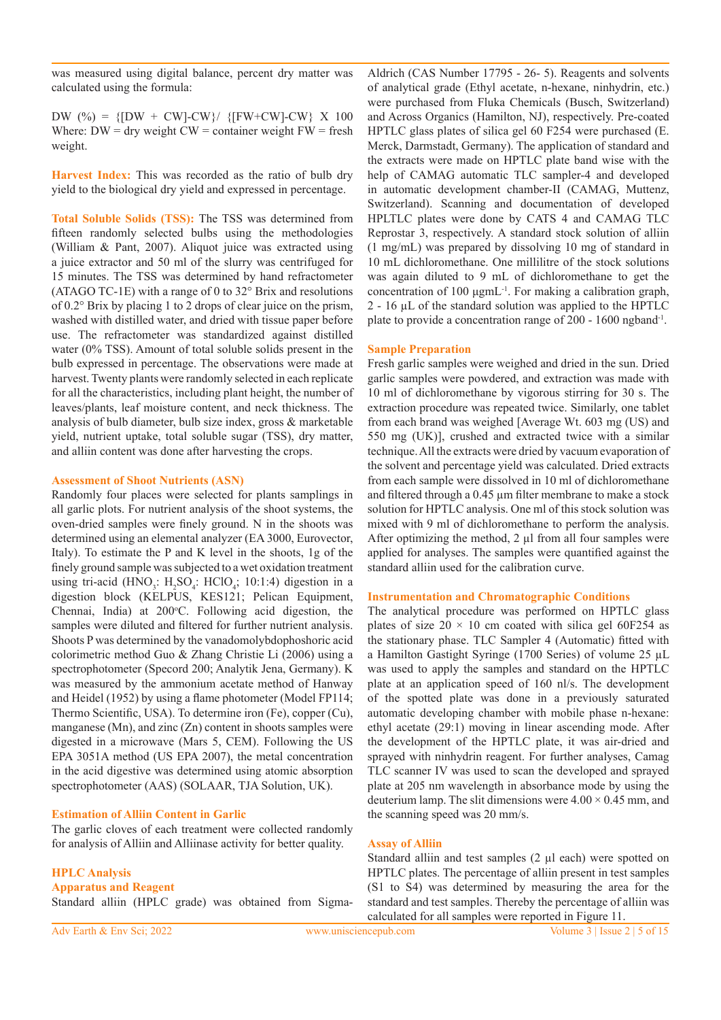was measured using digital balance, percent dry matter was calculated using the formula:

DW  $(^{\circ}\!\% ) = \{ [DW + CW]$ -CW $\} / \{ [FW+CW]$ -CW $\}$  X 100 Where:  $DW = \text{dry weight CW} = \text{container weight FW} = \text{fresh}$ weight.

**Harvest Index:** This was recorded as the ratio of bulb dry yield to the biological dry yield and expressed in percentage.

**Total Soluble Solids (TSS):** The TSS was determined from fifteen randomly selected bulbs using the methodologies (William & Pant, 2007). Aliquot juice was extracted using a juice extractor and 50 ml of the slurry was centrifuged for 15 minutes. The TSS was determined by hand refractometer (ATAGO TC-1E) with a range of 0 to 32° Brix and resolutions of 0.2° Brix by placing 1 to 2 drops of clear juice on the prism, washed with distilled water, and dried with tissue paper before use. The refractometer was standardized against distilled water (0% TSS). Amount of total soluble solids present in the bulb expressed in percentage. The observations were made at harvest. Twenty plants were randomly selected in each replicate for all the characteristics, including plant height, the number of leaves/plants, leaf moisture content, and neck thickness. The analysis of bulb diameter, bulb size index, gross & marketable yield, nutrient uptake, total soluble sugar (TSS), dry matter, and alliin content was done after harvesting the crops.

#### **Assessment of Shoot Nutrients (ASN)**

Randomly four places were selected for plants samplings in all garlic plots. For nutrient analysis of the shoot systems, the oven-dried samples were finely ground. N in the shoots was determined using an elemental analyzer (EA 3000, Eurovector, Italy). To estimate the P and K level in the shoots, 1g of the finely ground sample was subjected to a wet oxidation treatment using tri-acid (HNO<sub>3</sub>: H<sub>2</sub>SO<sub>4</sub>: HClO<sub>4</sub>; 10:1:4) digestion in a digestion block (KELPUS, KES121; Pelican Equipment, Chennai, India) at 200°C. Following acid digestion, the samples were diluted and filtered for further nutrient analysis. Shoots P was determined by the vanadomolybdophoshoric acid colorimetric method Guo & Zhang Christie Li (2006) using a spectrophotometer (Specord 200; Analytik Jena, Germany). K was measured by the ammonium acetate method of Hanway and Heidel (1952) by using a flame photometer (Model FP114; Thermo Scientific, USA). To determine iron (Fe), copper (Cu), manganese (Mn), and zinc (Zn) content in shoots samples were digested in a microwave (Mars 5, CEM). Following the US EPA 3051A method (US EPA 2007), the metal concentration in the acid digestive was determined using atomic absorption spectrophotometer (AAS) (SOLAAR, TJA Solution, UK).

## **Estimation of Alliin Content in Garlic**

The garlic cloves of each treatment were collected randomly for analysis of Alliin and Alliinase activity for better quality.

# **HPLC Analysis**

**Apparatus and Reagent** Standard alliin (HPLC grade) was obtained from Sigma-

Aldrich (CAS Number 17795 - 26- 5). Reagents and solvents of analytical grade (Ethyl acetate, n-hexane, ninhydrin, etc.) were purchased from Fluka Chemicals (Busch, Switzerland) and Across Organics (Hamilton, NJ), respectively. Pre-coated HPTLC glass plates of silica gel 60 F254 were purchased (E. Merck, Darmstadt, Germany). The application of standard and the extracts were made on HPTLC plate band wise with the help of CAMAG automatic TLC sampler-4 and developed in automatic development chamber-II (CAMAG, Muttenz, Switzerland). Scanning and documentation of developed HPLTLC plates were done by CATS 4 and CAMAG TLC Reprostar 3, respectively. A standard stock solution of alliin (1 mg/mL) was prepared by dissolving 10 mg of standard in 10 mL dichloromethane. One millilitre of the stock solutions was again diluted to 9 mL of dichloromethane to get the concentration of 100 μgmL<sup>-1</sup>. For making a calibration graph, 2 - 16 µL of the standard solution was applied to the HPTLC plate to provide a concentration range of 200 - 1600 ngband-1.

## **Sample Preparation**

Fresh garlic samples were weighed and dried in the sun. Dried garlic samples were powdered, and extraction was made with 10 ml of dichloromethane by vigorous stirring for 30 s. The extraction procedure was repeated twice. Similarly, one tablet from each brand was weighed [Average Wt. 603 mg (US) and 550 mg (UK)], crushed and extracted twice with a similar technique. All the extracts were dried by vacuum evaporation of the solvent and percentage yield was calculated. Dried extracts from each sample were dissolved in 10 ml of dichloromethane and filtered through a 0.45 µm filter membrane to make a stock solution for HPTLC analysis. One ml of this stock solution was mixed with 9 ml of dichloromethane to perform the analysis. After optimizing the method,  $2 \mu l$  from all four samples were applied for analyses. The samples were quantified against the standard alliin used for the calibration curve.

#### **Instrumentation and Chromatographic Conditions**

The analytical procedure was performed on HPTLC glass plates of size  $20 \times 10$  cm coated with silica gel 60F254 as the stationary phase. TLC Sampler 4 (Automatic) fitted with a Hamilton Gastight Syringe (1700 Series) of volume 25 µL was used to apply the samples and standard on the HPTLC plate at an application speed of 160 nl/s. The development of the spotted plate was done in a previously saturated automatic developing chamber with mobile phase n-hexane: ethyl acetate (29:1) moving in linear ascending mode. After the development of the HPTLC plate, it was air-dried and sprayed with ninhydrin reagent. For further analyses, Camag TLC scanner IV was used to scan the developed and sprayed plate at 205 nm wavelength in absorbance mode by using the deuterium lamp. The slit dimensions were  $4.00 \times 0.45$  mm, and the scanning speed was 20 mm/s.

#### **Assay of Alliin**

Standard alliin and test samples (2 µl each) were spotted on HPTLC plates. The percentage of alliin present in test samples (S1 to S4) was determined by measuring the area for the standard and test samples. Thereby the percentage of alliin was calculated for all samples were reported in Figure 11.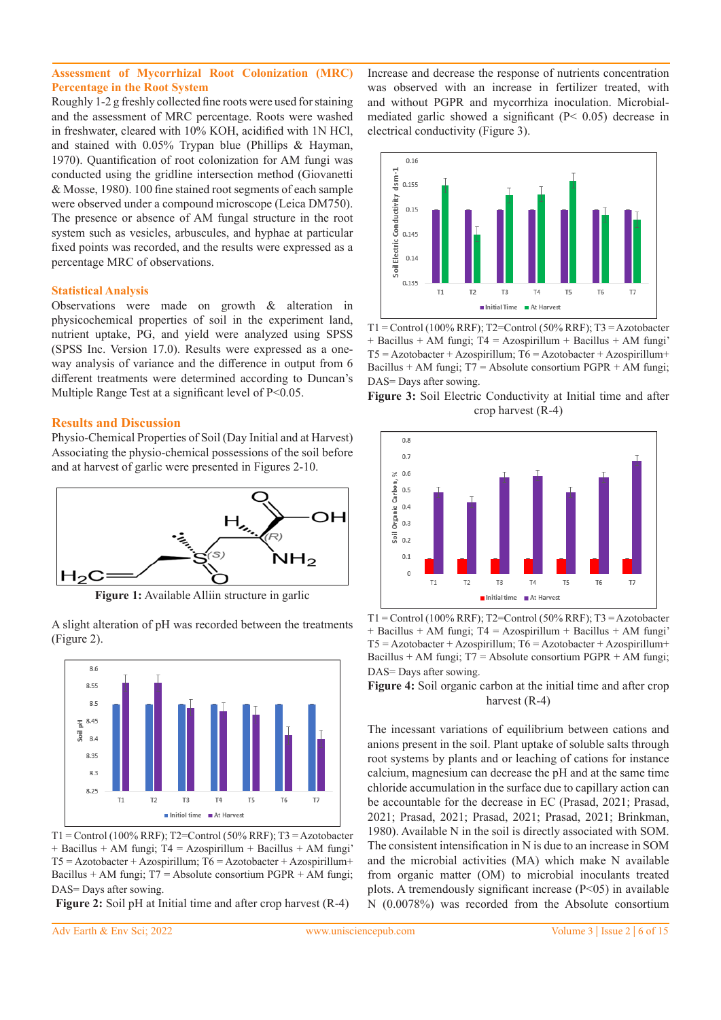## **Assessment of Mycorrhizal Root Colonization (MRC) Percentage in the Root System**

Roughly 1-2 g freshly collected fine roots were used for staining and the assessment of MRC percentage. Roots were washed in freshwater, cleared with 10% KOH, acidified with 1N HCl, and stained with 0.05% Trypan blue (Phillips & Hayman, 1970). Quantification of root colonization for AM fungi was conducted using the gridline intersection method (Giovanetti & Mosse, 1980). 100 fine stained root segments of each sample were observed under a compound microscope (Leica DM750). The presence or absence of AM fungal structure in the root system such as vesicles, arbuscules, and hyphae at particular fixed points was recorded, and the results were expressed as a percentage MRC of observations.

## **Statistical Analysis**

Observations were made on growth & alteration in physicochemical properties of soil in the experiment land, nutrient uptake, PG, and yield were analyzed using SPSS (SPSS Inc. Version 17.0). Results were expressed as a oneway analysis of variance and the difference in output from 6 different treatments were determined according to Duncan's Multiple Range Test at a significant level of P<0.05.

## **Results and Discussion**

Physio-Chemical Properties of Soil (Day Initial and at Harvest) Associating the physio-chemical possessions of the soil before and at harvest of garlic were presented in Figures 2-10.



**Figure 1:** Available Alliin structure in garlic

A slight alteration of pH was recorded between the treatments (Figure 2).



T1 = Control (100% RRF); T2=Control (50% RRF); T3 = Azotobacter + Bacillus + AM fungi; T4 = Azospirillum + Bacillus + AM fungi'  $T5 = Azotobacter + Azospirillum; T6 = Azotobacter + Azospirillum+$ Bacillus + AM fungi;  $T7$  = Absolute consortium PGPR + AM fungi; DAS= Days after sowing.

**Figure 2:** Soil pH at Initial time and after crop harvest (R-4)

Increase and decrease the response of nutrients concentration was observed with an increase in fertilizer treated, with and without PGPR and mycorrhiza inoculation. Microbialmediated garlic showed a significant (P< 0.05) decrease in electrical conductivity (Figure 3).



 $T1 =$ Control (100% RRF); T2=Control (50% RRF); T3 = Azotobacter + Bacillus + AM fungi; T4 = Azospirillum + Bacillus + AM fungi'  $T5 = Azotobacter + Azospirillum; T6 = Azotobacter + Azospirillum+$ Bacillus + AM fungi;  $T7$  = Absolute consortium PGPR + AM fungi; DAS= Days after sowing.





 $T1 =$ Control (100% RRF); T2=Control (50% RRF); T3 = Azotobacter  $+$  Bacillus  $+$  AM fungi; T4 = Azospirillum  $+$  Bacillus  $+$  AM fungi'  $T5 = Azotobacter + Azospirillum; T6 = Azotobacter + Azospirillum+$ Bacillus + AM fungi; T7 = Absolute consortium PGPR + AM fungi; DAS= Days after sowing.

**Figure 4:** Soil organic carbon at the initial time and after crop harvest (R-4)

The incessant variations of equilibrium between cations and anions present in the soil. Plant uptake of soluble salts through root systems by plants and or leaching of cations for instance calcium, magnesium can decrease the pH and at the same time chloride accumulation in the surface due to capillary action can be accountable for the decrease in EC (Prasad, 2021; Prasad, 2021; Prasad, 2021; Prasad, 2021; Prasad, 2021; Brinkman, 1980). Available N in the soil is directly associated with SOM. The consistent intensification in N is due to an increase in SOM and the microbial activities (MA) which make N available from organic matter (OM) to microbial inoculants treated plots. A tremendously significant increase (P<05) in available N (0.0078%) was recorded from the Absolute consortium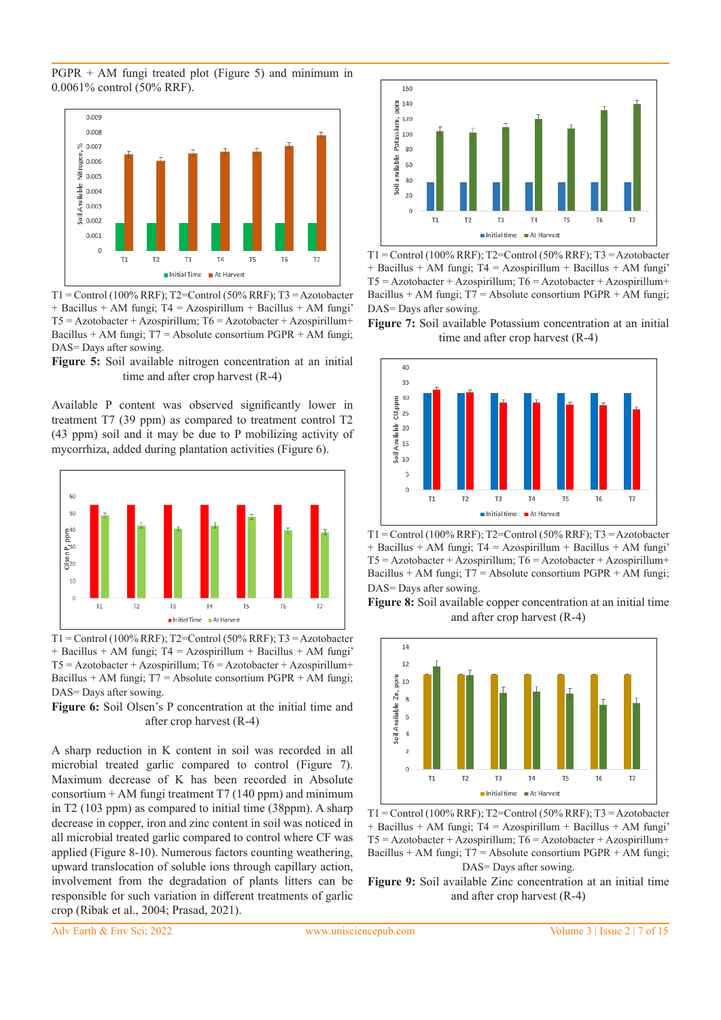PGPR + AM fungi treated plot (Figure 5) and minimum in 0.0061% control (50% RRF).



 $T1 =$ Control (100% RRF); T2=Control (50% RRF); T3 = Azotobacter + Bacillus + AM fungi; T4 = Azospirillum + Bacillus + AM fungi'  $T5 =$  Azotobacter + Azospirillum;  $T6 =$  Azotobacter + Azospirillum+ Bacillus + AM fungi; T7 = Absolute consortium PGPR + AM fungi; DAS= Days after sowing.

**Figure 5:** Soil available nitrogen concentration at an initial time and after crop harvest (R-4)

Available P content was observed significantly lower in treatment T7 (39 ppm) as compared to treatment control T2 (43 ppm) soil and it may be due to P mobilizing activity of mycorrhiza, added during plantation activities (Figure 6).



 $T1 =$ Control (100% RRF); T2=Control (50% RRF); T3 = Azotobacter + Bacillus + AM fungi; T4 = Azospirillum + Bacillus + AM fungi'  $T5 =$  Azotobacter + Azospirillum;  $T6 =$  Azotobacter + Azospirillum+ Bacillus + AM fungi;  $T7$  = Absolute consortium PGPR + AM fungi; DAS= Days after sowing.

**Figure 6:** Soil Olsen's P concentration at the initial time and after crop harvest (R-4)

A sharp reduction in K content in soil was recorded in all microbial treated garlic compared to control (Figure 7). Maximum decrease of K has been recorded in Absolute consortium  $+ AM$  fungi treatment T7 (140 ppm) and minimum in T2 (103 ppm) as compared to initial time (38ppm). A sharp decrease in copper, iron and zinc content in soil was noticed in all microbial treated garlic compared to control where CF was applied (Figure 8-10). Numerous factors counting weathering, upward translocation of soluble ions through capillary action, involvement from the degradation of plants litters can be responsible for such variation in different treatments of garlic crop (Ribak et al., 2004; Prasad, 2021).



 $T1 =$ Control (100% RRF); T2=Control (50% RRF); T3 = Azotobacter + Bacillus + AM fungi; T4 = Azospirillum + Bacillus + AM fungi'  $T5 = Azotobacter + Azospirillum; T6 = Azotobacter + Azospirillum+$ Bacillus + AM fungi;  $T7$  = Absolute consortium PGPR + AM fungi; DAS= Days after sowing.

**Figure 7:** Soil available Potassium concentration at an initial time and after crop harvest (R-4)



 $T1 =$ Control (100% RRF); T2=Control (50% RRF); T3 = Azotobacter  $+$  Bacillus  $+$  AM fungi; T4 = Azospirillum  $+$  Bacillus  $+$  AM fungi'  $T5 = Azotobacter + Azospirillum; T6 = Azotobacter + Azospirillum+$ Bacillus + AM fungi;  $T7 =$  Absolute consortium PGPR + AM fungi; DAS= Days after sowing.

**Figure 8:** Soil available copper concentration at an initial time and after crop harvest (R-4)



 $T1 =$ Control (100% RRF); T2=Control (50% RRF); T3 = Azotobacter + Bacillus + AM fungi; T4 = Azospirillum + Bacillus + AM fungi'  $T5 = Azotobacter + Azospirillum; T6 = Azotobacter + Azospirillum+$ Bacillus + AM fungi;  $T7$  = Absolute consortium PGPR + AM fungi; DAS= Days after sowing.

**Figure 9:** Soil available Zinc concentration at an initial time and after crop harvest (R-4)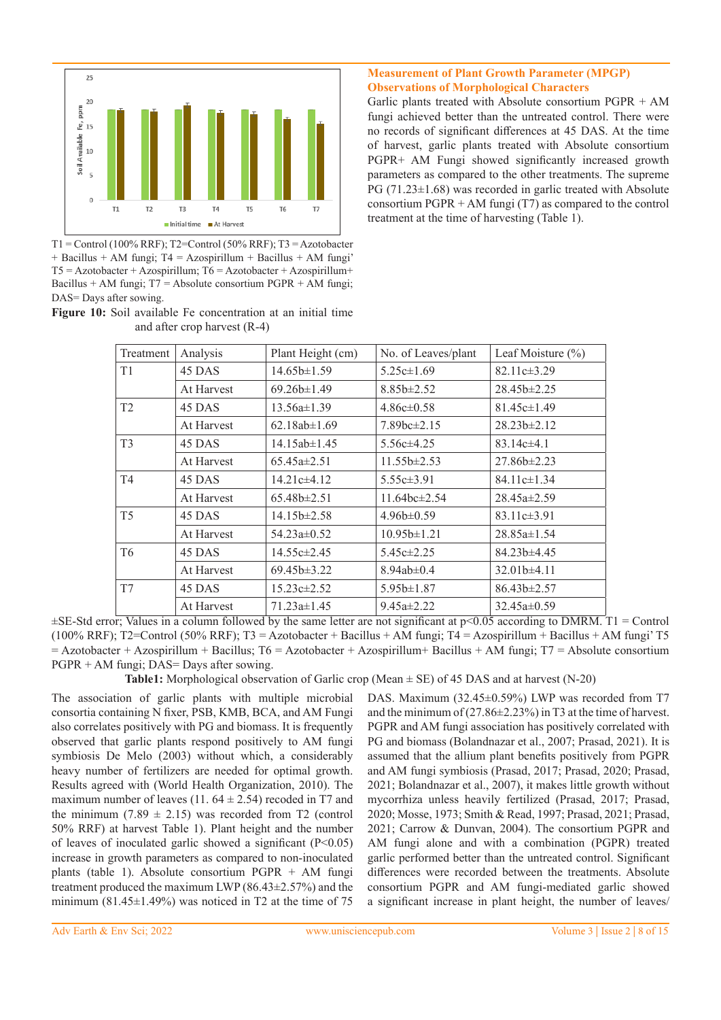

 $T1 =$ Control (100% RRF); T2=Control (50% RRF); T3 = Azotobacter + Bacillus + AM fungi; T4 = Azospirillum + Bacillus + AM fungi'  $T5 = Azotobacter + Azospirillum; T6 = Azotobacter + Azospirillum+$ Bacillus + AM fungi;  $T7$  = Absolute consortium PGPR + AM fungi; DAS= Days after sowing.

|  |  | Figure 10: Soil available Fe concentration at an initial time |  |  |  |
|--|--|---------------------------------------------------------------|--|--|--|
|  |  | and after crop harvest $(R-4)$                                |  |  |  |

## **Measurement of Plant Growth Parameter (MPGP) Observations of Morphological Characters**

Garlic plants treated with Absolute consortium PGPR + AM fungi achieved better than the untreated control. There were no records of significant differences at 45 DAS. At the time of harvest, garlic plants treated with Absolute consortium PGPR+ AM Fungi showed significantly increased growth parameters as compared to the other treatments. The supreme  $PG(71.23\pm1.68)$  was recorded in garlic treated with Absolute consortium PGPR + AM fungi (T7) as compared to the control treatment at the time of harvesting (Table 1).

| Treatment      | Analysis   | Plant Height (cm)       | No. of Leaves/plant   | Leaf Moisture $(\% )$ |  |
|----------------|------------|-------------------------|-----------------------|-----------------------|--|
| T <sub>1</sub> | 45 DAS     | $14.65b \pm 1.59$       | $5.25c \pm 1.69$      | $82.11c\pm3.29$       |  |
|                | At Harvest | $69.26b \pm 1.49$       | $8.85b \pm 2.52$      | $28.45b \pm 2.25$     |  |
| T <sub>2</sub> | 45 DAS     | $13.56a \pm 1.39$       | $4.86c\pm0.58$        | $81.45c\pm1.49$       |  |
|                | At Harvest | $62.18ab \pm 1.69$      | $7.89$ bc $\pm 2.15$  | $28.23b \pm 2.12$     |  |
| T <sub>3</sub> | 45 DAS     | $14.15ab \pm 1.45$      | $5.56c\pm4.25$        | $83.14c\pm4.1$        |  |
|                | At Harvest | $65.45a \pm 2.51$       | $11.55b \pm 2.53$     | $27.86b \pm 2.23$     |  |
| T4             | 45 DAS     | $14.21c\pm4.12$         | $5.55c \pm 3.91$      | $84.11c\pm1.34$       |  |
|                | At Harvest | $65.48b \pm 2.51$       | $11.64$ bc $\pm 2.54$ | $28.45a \pm 2.59$     |  |
| T <sub>5</sub> | 45 DAS     | $14.15b \pm 2.58$       | $4.96b \pm 0.59$      | $83.11c\pm3.91$       |  |
|                | At Harvest | $54.23a \pm 0.52$       | $10.95b \pm 1.21$     | $28.85a \pm 1.54$     |  |
| T <sub>6</sub> | 45 DAS     | $14.55c \pm 2.45$       | $5.45c \pm 2.25$      | $84.23b \pm 4.45$     |  |
|                | At Harvest | 69.45 <sub>b±3.22</sub> | 8.94ab±0.4            | $32.01b \pm 4.11$     |  |
| T7             | 45 DAS     | $15.23c \pm 2.52$       | $5.95b \pm 1.87$      | $86.43b \pm 2.57$     |  |
|                | At Harvest | $71.23a \pm 1.45$       | $9.45a \pm 2.22$      | $32.45a \pm 0.59$     |  |

 $\pm$ SE-Std error; Values in a column followed by the same letter are not significant at p<0.05 according to DMRM. T1 = Control (100% RRF); T2=Control (50% RRF); T3 = Azotobacter + Bacillus + AM fungi; T4 = Azospirillum + Bacillus + AM fungi' T5  $=$  Azotobacter + Azospirillum + Bacillus; T6 = Azotobacter + Azospirillum + Bacillus + AM fungi; T7 = Absolute consortium PGPR + AM fungi; DAS= Days after sowing.

**Table1:** Morphological observation of Garlic crop (Mean ± SE) of 45 DAS and at harvest (N-20)

The association of garlic plants with multiple microbial consortia containing N fixer, PSB, KMB, BCA, and AM Fungi also correlates positively with PG and biomass. It is frequently observed that garlic plants respond positively to AM fungi symbiosis De Melo (2003) without which, a considerably heavy number of fertilizers are needed for optimal growth. Results agreed with (World Health Organization, 2010). The maximum number of leaves (11.  $64 \pm 2.54$ ) recoded in T7 and the minimum (7.89  $\pm$  2.15) was recorded from T2 (control 50% RRF) at harvest Table 1). Plant height and the number of leaves of inoculated garlic showed a significant  $(P<0.05)$ increase in growth parameters as compared to non-inoculated plants (table 1). Absolute consortium PGPR + AM fungi treatment produced the maximum LWP (86.43 $\pm$ 2.57%) and the minimum (81.45 $\pm$ 1.49%) was noticed in T2 at the time of 75

DAS. Maximum (32.45±0.59%) LWP was recorded from T7 and the minimum of (27.86±2.23%) in T3 at the time of harvest. PGPR and AM fungi association has positively correlated with PG and biomass (Bolandnazar et al., 2007; Prasad, 2021). It is assumed that the allium plant benefits positively from PGPR and AM fungi symbiosis (Prasad, 2017; Prasad, 2020; Prasad, 2021; Bolandnazar et al., 2007), it makes little growth without mycorrhiza unless heavily fertilized (Prasad, 2017; Prasad, 2020; Mosse, 1973; Smith & Read, 1997; Prasad, 2021; Prasad, 2021; Carrow & Dunvan, 2004). The consortium PGPR and AM fungi alone and with a combination (PGPR) treated garlic performed better than the untreated control. Significant differences were recorded between the treatments. Absolute consortium PGPR and AM fungi-mediated garlic showed a significant increase in plant height, the number of leaves/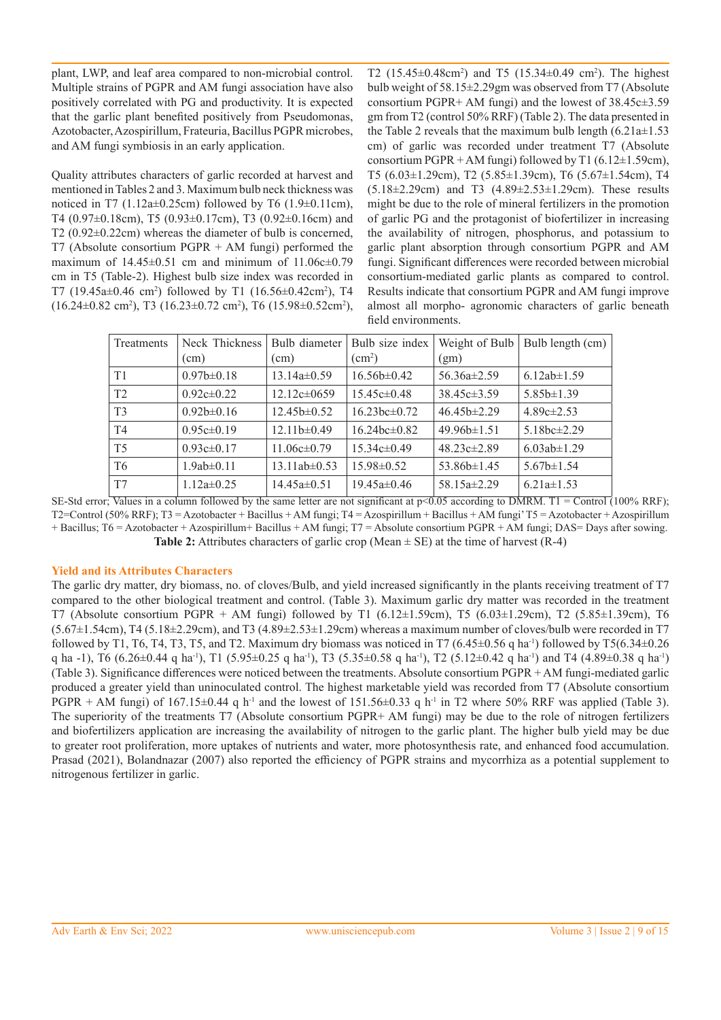plant, LWP, and leaf area compared to non-microbial control. Multiple strains of PGPR and AM fungi association have also positively correlated with PG and productivity. It is expected that the garlic plant benefited positively from Pseudomonas, Azotobacter, Azospirillum, Frateuria, Bacillus PGPR microbes, and AM fungi symbiosis in an early application.

Quality attributes characters of garlic recorded at harvest and mentioned in Tables 2 and 3. Maximum bulb neck thickness was noticed in T7 (1.12a $\pm$ 0.25cm) followed by T6 (1.9 $\pm$ 0.11cm), T4 (0.97±0.18cm), T5 (0.93±0.17cm), T3 (0.92±0.16cm) and T2 (0.92±0.22cm) whereas the diameter of bulb is concerned, T7 (Absolute consortium  $PGPR + AM$  fungi) performed the maximum of  $14.45\pm0.51$  cm and minimum of  $11.06c\pm0.79$ cm in T5 (Table-2). Highest bulb size index was recorded in T7 (19.45a $\pm$ 0.46 cm<sup>2</sup>) followed by T1 (16.56 $\pm$ 0.42cm<sup>2</sup>), T4  $(16.24\pm0.82 \text{ cm}^2)$ , T3  $(16.23\pm0.72 \text{ cm}^2)$ , T6  $(15.98\pm0.52 \text{ cm}^2)$ , T2  $(15.45 \pm 0.48 \text{ cm}^2)$  and T5  $(15.34 \pm 0.49 \text{ cm}^2)$ . The highest bulb weight of 58.15±2.29gm was observed from T7 (Absolute consortium PGPR+ AM fungi) and the lowest of 38.45c±3.59 gm from T2 (control 50% RRF) (Table 2). The data presented in the Table 2 reveals that the maximum bulb length  $(6.21a \pm 1.53)$ cm) of garlic was recorded under treatment T7 (Absolute consortium PGPR + AM fungi) followed by T1 (6.12±1.59cm), T5 (6.03±1.29cm), T2 (5.85±1.39cm), T6 (5.67±1.54cm), T4 (5.18±2.29cm) and T3 (4.89±2.53±1.29cm). These results might be due to the role of mineral fertilizers in the promotion of garlic PG and the protagonist of biofertilizer in increasing the availability of nitrogen, phosphorus, and potassium to garlic plant absorption through consortium PGPR and AM fungi. Significant differences were recorded between microbial consortium-mediated garlic plants as compared to control. Results indicate that consortium PGPR and AM fungi improve almost all morpho- agronomic characters of garlic beneath field environments.

| Treatments     | Neck Thickness   | Bulb diameter      | Bulb size index       | Weight of Bulb    | Bulb length (cm)  |
|----------------|------------------|--------------------|-----------------------|-------------------|-------------------|
|                | (cm)             | $\text{cm}$ )      | $\rm (cm^2)$          | (gm)              |                   |
| T1             | $0.97b \pm 0.18$ | $13.14a\pm0.59$    | $16.56b \pm 0.42$     | $56.36a \pm 2.59$ | 6.12ab $\pm$ 1.59 |
| T <sub>2</sub> | $0.92c\pm0.22$   | $12.12c\pm0659$    | $15.45c\pm0.48$       | $38.45c\pm3.59$   | $5.85b \pm 1.39$  |
| T <sub>3</sub> | $0.92b \pm 0.16$ | $12.45b \pm 0.52$  | $16.23$ hc $\pm 0.72$ | $46.45b \pm 2.29$ | $4.89c\pm2.53$    |
| T4             | $0.95c \pm 0.19$ | $12.11b \pm 0.49$  | $16.24bc \pm 0.82$    | $49.96b \pm 1.51$ | 5.18bc $\pm$ 2.29 |
| T <sub>5</sub> | $0.93c \pm 0.17$ | $11.06c \pm 0.79$  | $15.34c\pm0.49$       | $48.23c\pm2.89$   | 6.03ab $\pm$ 1.29 |
| T <sub>6</sub> | $1.9ab \pm 0.11$ | $13.11ab \pm 0.53$ | $15.98 \pm 0.52$      | $53.86b \pm 1.45$ | $5.67b \pm 1.54$  |
| T7             | $1.12a \pm 0.25$ | $14.45a\pm0.51$    | $19.45a \pm 0.46$     | 58.15a $\pm$ 2.29 | $6.21a \pm 1.53$  |

SE-Std error; Values in a column followed by the same letter are not significant at  $p<0.05$  according to DMRM. T1 = Control (100% RRF); T2=Control (50% RRF); T3 = Azotobacter + Bacillus + AM fungi; T4 = Azospirillum + Bacillus + AM fungi' T5 = Azotobacter + Azospirillum + Bacillus; T6 = Azotobacter + Azospirillum+ Bacillus + AM fungi; T7 = Absolute consortium PGPR + AM fungi; DAS= Days after sowing. **Table 2:** Attributes characters of garlic crop (Mean  $\pm$  SE) at the time of harvest (R-4)

## **Yield and its Attributes Characters**

The garlic dry matter, dry biomass, no. of cloves/Bulb, and yield increased significantly in the plants receiving treatment of T7 compared to the other biological treatment and control. (Table 3). Maximum garlic dry matter was recorded in the treatment T7 (Absolute consortium PGPR + AM fungi) followed by T1 (6.12 $\pm$ 1.59cm), T5 (6.03 $\pm$ 1.29cm), T2 (5.85 $\pm$ 1.39cm), T6  $(5.67\pm1.54$ cm), T4  $(5.18\pm2.29$ cm), and T3  $(4.89\pm2.53\pm1.29$ cm) whereas a maximum number of cloves/bulb were recorded in T7 followed by T1, T6, T4, T3, T5, and T2. Maximum dry biomass was noticed in T7  $(6.45\pm0.56 \text{ q ha}^{-1})$  followed by T5 $(6.34\pm0.26 \text{ q ha}^{-1})$ q ha -1), T6 (6.26 $\pm$ 0.44 q ha<sup>-1</sup>), T1 (5.95 $\pm$ 0.25 q ha<sup>-1</sup>), T3 (5.35 $\pm$ 0.58 q ha<sup>-1</sup>), T2 (5.12 $\pm$ 0.42 q ha<sup>-1</sup>) and T4 (4.89 $\pm$ 0.38 q ha<sup>-1</sup>) (Table 3). Significance differences were noticed between the treatments. Absolute consortium PGPR + AM fungi-mediated garlic produced a greater yield than uninoculated control. The highest marketable yield was recorded from T7 (Absolute consortium PGPR + AM fungi) of  $167.15\pm0.44$  q h<sup>-1</sup> and the lowest of  $151.56\pm0.33$  q h<sup>-1</sup> in T2 where 50% RRF was applied (Table 3). The superiority of the treatments T7 (Absolute consortium PGPR+ AM fungi) may be due to the role of nitrogen fertilizers and biofertilizers application are increasing the availability of nitrogen to the garlic plant. The higher bulb yield may be due to greater root proliferation, more uptakes of nutrients and water, more photosynthesis rate, and enhanced food accumulation. Prasad (2021), Bolandnazar (2007) also reported the efficiency of PGPR strains and mycorrhiza as a potential supplement to nitrogenous fertilizer in garlic.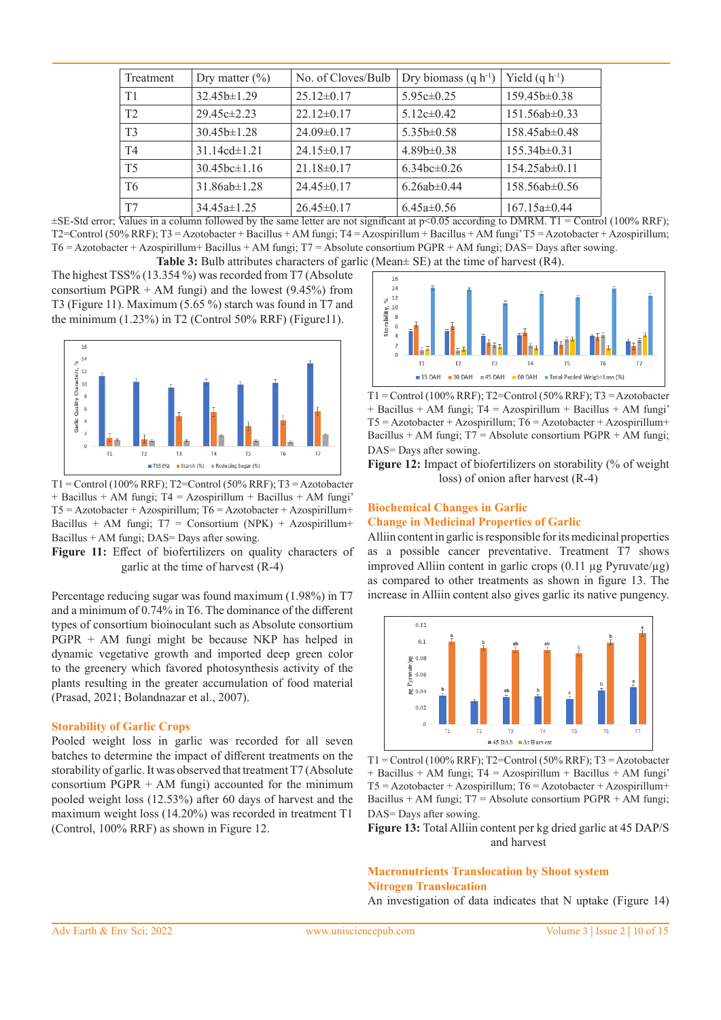| Treatment      | Dry matter $(\%)$                | No. of Cloves/Bulb | Dry biomass $(q h^{-1})$        | Yield $(q h^{-1})$  |
|----------------|----------------------------------|--------------------|---------------------------------|---------------------|
| T <sub>1</sub> | $32.45b \pm 1.29$                | $25.12 \pm 0.17$   | $5.95c\pm0.25$                  | 159.45b±0.38        |
| T <sub>2</sub> | $29.45c\pm2.23$                  | $22.12 \pm 0.17$   | $5.12c\pm0.42$                  | $151.56ab\pm0.33$   |
| T <sub>3</sub> | $30.45b \pm 1.28$                | $24.09 \pm 0.17$   | $5.35b\pm0.58$                  | $158.45ab \pm 0.48$ |
| T4             | $31.14cd \pm 1.21$               | $24.15\pm0.17$     | $4.89b \pm 0.38$                | $155.34b \pm 0.31$  |
| T <sub>5</sub> | $30.45$ <sub>bc</sub> $\pm$ 1.16 | $21.18\pm0.17$     | $6.34$ <sub>bc</sub> $\pm 0.26$ | $154.25ab \pm 0.11$ |
| T <sub>6</sub> | $31.86ab \pm 1.28$               | $24.45\pm0.17$     | $6.26ab \pm 0.44$               | $158.56ab \pm 0.56$ |
| T7             | $34.45a \pm 1.25$                | $26.45\pm0.17$     | $6.45a \pm 0.56$                | $167.15a\pm0.44$    |

 $\pm$ SE-Std error; Values in a column followed by the same letter are not significant at p<0.05 according to DMRM. T1 = Control (100% RRF); T2=Control (50% RRF); T3 = Azotobacter + Bacillus + AM fungi; T4 = Azospirillum + Bacillus + AM fungi' T5 = Azotobacter + Azospirillum; T6 = Azotobacter + Azospirillum+ Bacillus + AM fungi; T7 = Absolute consortium PGPR + AM fungi; DAS= Days after sowing. **Table 3:** Bulb attributes characters of garlic (Mean± SE) at the time of harvest (R4).

The highest TSS% (13.354 %) was recorded from T7 (Absolute consortium PGPR  $+$  AM fungi) and the lowest (9.45%) from T3 (Figure 11). Maximum (5.65 %) starch was found in T7 and the minimum  $(1.23\%)$  in T2 (Control 50% RRF) (Figure11).



 $T1 =$ Control (100% RRF); T2=Control (50% RRF); T3 = Azotobacter + Bacillus + AM fungi; T4 = Azospirillum + Bacillus + AM fungi'  $T5 = Azotobacter + Azospirillum; T6 = Azotobacter + Azospirillum+$ Bacillus + AM fungi;  $T7 =$  Consortium (NPK) + Azospirillum+ Bacillus + AM fungi; DAS= Days after sowing.

Figure 11: Effect of biofertilizers on quality characters of garlic at the time of harvest (R-4)

Percentage reducing sugar was found maximum (1.98%) in T7 and a minimum of 0.74% in T6. The dominance of the different types of consortium bioinoculant such as Absolute consortium PGPR + AM fungi might be because NKP has helped in dynamic vegetative growth and imported deep green color to the greenery which favored photosynthesis activity of the plants resulting in the greater accumulation of food material (Prasad, 2021; Bolandnazar et al., 2007).

#### **Storability of Garlic Crops**

Pooled weight loss in garlic was recorded for all seven batches to determine the impact of different treatments on the storability of garlic. It was observed that treatment T7 (Absolute consortium  $PGPR + AM$  fungi) accounted for the minimum pooled weight loss (12.53%) after 60 days of harvest and the maximum weight loss (14.20%) was recorded in treatment T1 (Control, 100% RRF) as shown in Figure 12.



T1 = Control (100% RRF); T2=Control (50% RRF); T3 = Azotobacter + Bacillus + AM fungi; T4 = Azospirillum + Bacillus + AM fungi'  $T5 = Azotobacter + Azospirillum; T6 = Azotobacter + Azospirillum+$ Bacillus + AM fungi;  $T7$  = Absolute consortium PGPR + AM fungi; DAS= Days after sowing.

**Figure 12:** Impact of biofertilizers on storability (% of weight loss) of onion after harvest (R-4)

#### **Biochemical Changes in Garlic Change in Medicinal Properties of Garlic**

Alliin content in garlic is responsible for its medicinal properties as a possible cancer preventative. Treatment T7 shows improved Alliin content in garlic crops  $(0.11 \mu g$  Pyruvate/ $\mu$ g) as compared to other treatments as shown in figure 13. The increase in Alliin content also gives garlic its native pungency.



 $T1 =$  Control (100% RRF); T2=Control (50% RRF); T3 = Azotobacter + Bacillus + AM fungi; T4 = Azospirillum + Bacillus + AM fungi' T5 = Azotobacter + Azospirillum; T6 = Azotobacter + Azospirillum+ Bacillus + AM fungi;  $T7$  = Absolute consortium PGPR + AM fungi; DAS= Days after sowing.

**Figure 13:** Total Alliin content per kg dried garlic at 45 DAP/S and harvest

## **Macronutrients Translocation by Shoot system Nitrogen Translocation**

An investigation of data indicates that N uptake (Figure 14)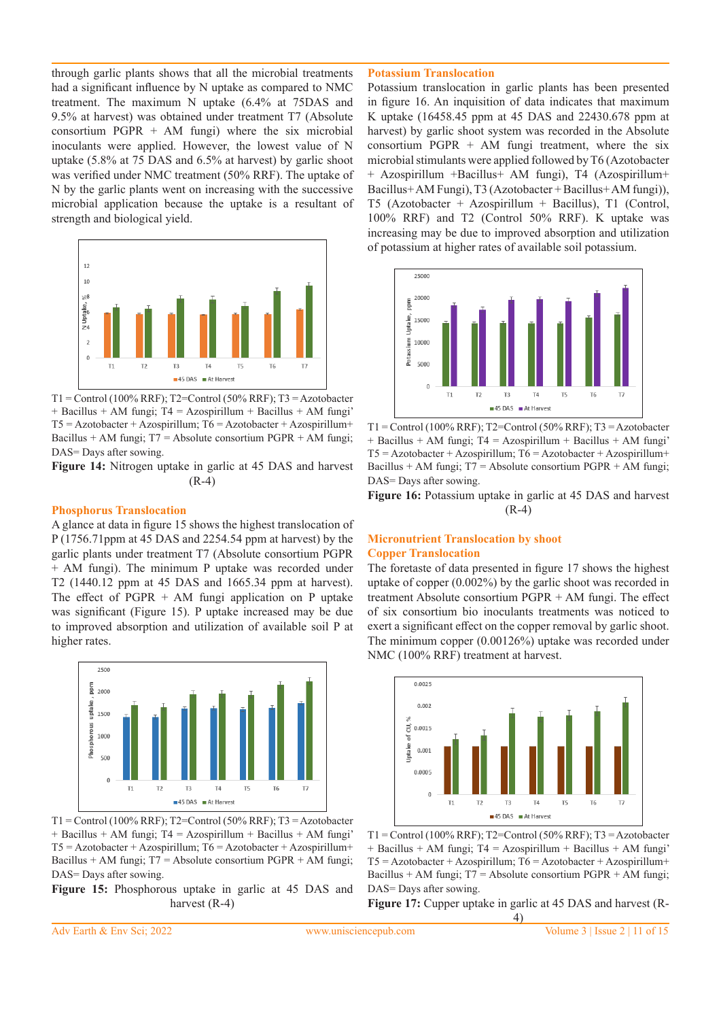through garlic plants shows that all the microbial treatments had a significant influence by N uptake as compared to NMC treatment. The maximum N uptake (6.4% at 75DAS and 9.5% at harvest) was obtained under treatment T7 (Absolute consortium PGPR  $+$  AM fungi) where the six microbial inoculants were applied. However, the lowest value of N uptake (5.8% at 75 DAS and 6.5% at harvest) by garlic shoot was verified under NMC treatment (50% RRF). The uptake of N by the garlic plants went on increasing with the successive microbial application because the uptake is a resultant of strength and biological yield.



 $T1 =$ Control (100% RRF); T2=Control (50% RRF); T3 = Azotobacter + Bacillus + AM fungi; T4 = Azospirillum + Bacillus + AM fungi'  $T5 =$  Azotobacter + Azospirillum;  $T6 =$  Azotobacter + Azospirillum+ Bacillus + AM fungi;  $T7$  = Absolute consortium PGPR + AM fungi; DAS= Days after sowing.

**Figure 14:** Nitrogen uptake in garlic at 45 DAS and harvest (R-4)

#### **Phosphorus Translocation**

A glance at data in figure 15 shows the highest translocation of P (1756.71ppm at 45 DAS and 2254.54 ppm at harvest) by the garlic plants under treatment T7 (Absolute consortium PGPR + AM fungi). The minimum P uptake was recorded under T2 (1440.12 ppm at 45 DAS and 1665.34 ppm at harvest). The effect of  $PGPR + AM$  fungi application on P uptake was significant (Figure 15). P uptake increased may be due to improved absorption and utilization of available soil P at higher rates.



 $T1 =$ Control (100% RRF); T2=Control (50% RRF); T3 = Azotobacter + Bacillus + AM fungi; T4 = Azospirillum + Bacillus + AM fungi'  $T5 = Azotobacter + Azospirillum; T6 = Azotobacter + Azospirillum+$ Bacillus + AM fungi;  $T7$  = Absolute consortium PGPR + AM fungi; DAS= Days after sowing.

**Figure 15:** Phosphorous uptake in garlic at 45 DAS and harvest (R-4)

#### **Potassium Translocation**

Potassium translocation in garlic plants has been presented in figure 16. An inquisition of data indicates that maximum K uptake (16458.45 ppm at 45 DAS and 22430.678 ppm at harvest) by garlic shoot system was recorded in the Absolute consortium PGPR  $+$  AM fungi treatment, where the six microbial stimulants were applied followed by T6 (Azotobacter + Azospirillum +Bacillus+ AM fungi), T4 (Azospirillum+ Bacillus+ AM Fungi), T3 (Azotobacter + Bacillus+ AM fungi)), T5 (Azotobacter + Azospirillum + Bacillus), T1 (Control, 100% RRF) and T2 (Control 50% RRF). K uptake was increasing may be due to improved absorption and utilization of potassium at higher rates of available soil potassium.



 $T1 =$ Control (100% RRF); T2=Control (50% RRF); T3 = Azotobacter + Bacillus + AM fungi; T4 = Azospirillum + Bacillus + AM fungi' T5 = Azotobacter + Azospirillum; T6 = Azotobacter + Azospirillum+ Bacillus + AM fungi; T7 = Absolute consortium PGPR + AM fungi; DAS= Days after sowing.

**Figure 16:** Potassium uptake in garlic at 45 DAS and harvest (R-4)

#### **Micronutrient Translocation by shoot Copper Translocation**

The foretaste of data presented in figure 17 shows the highest uptake of copper (0.002%) by the garlic shoot was recorded in treatment Absolute consortium PGPR + AM fungi. The effect of six consortium bio inoculants treatments was noticed to exert a significant effect on the copper removal by garlic shoot. The minimum copper (0.00126%) uptake was recorded under NMC (100% RRF) treatment at harvest.



T1 = Control (100% RRF); T2=Control (50% RRF); T3 = Azotobacter + Bacillus + AM fungi; T4 = Azospirillum + Bacillus + AM fungi'  $T5 = Azotobacter + Azospirillum; T6 = Azotobacter + Azospirillum+$ Bacillus + AM fungi;  $T7$  = Absolute consortium PGPR + AM fungi; DAS= Days after sowing.

**Figure 17:** Cupper uptake in garlic at 45 DAS and harvest (R-

4)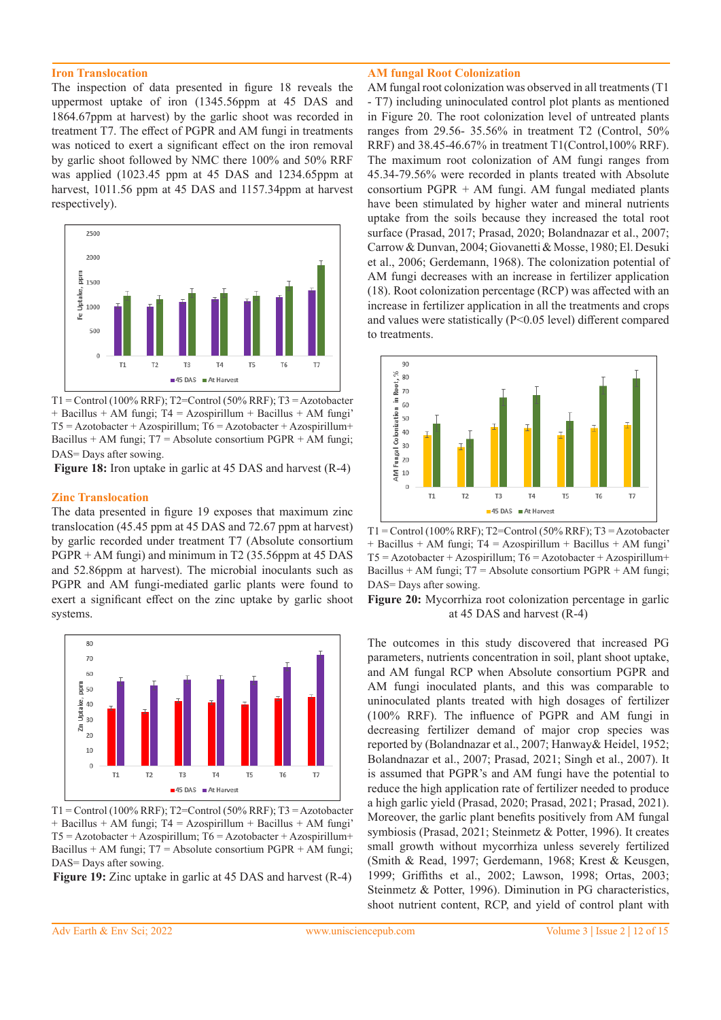#### **Iron Translocation**

The inspection of data presented in figure 18 reveals the uppermost uptake of iron (1345.56ppm at 45 DAS and 1864.67ppm at harvest) by the garlic shoot was recorded in treatment T7. The effect of PGPR and AM fungi in treatments was noticed to exert a significant effect on the iron removal by garlic shoot followed by NMC there 100% and 50% RRF was applied (1023.45 ppm at 45 DAS and 1234.65ppm at harvest, 1011.56 ppm at 45 DAS and 1157.34ppm at harvest respectively).



 $T1 =$ Control (100% RRF); T2=Control (50% RRF); T3 = Azotobacter + Bacillus + AM fungi; T4 = Azospirillum + Bacillus + AM fungi' T5 = Azotobacter + Azospirillum; T6 = Azotobacter + Azospirillum+ Bacillus + AM fungi; T7 = Absolute consortium PGPR + AM fungi; DAS= Days after sowing.

**Figure 18:** Iron uptake in garlic at 45 DAS and harvest (R-4)

#### **Zinc Translocation**

The data presented in figure 19 exposes that maximum zinc translocation (45.45 ppm at 45 DAS and 72.67 ppm at harvest) by garlic recorded under treatment T7 (Absolute consortium PGPR + AM fungi) and minimum in T2 (35.56ppm at 45 DAS and 52.86ppm at harvest). The microbial inoculants such as PGPR and AM fungi-mediated garlic plants were found to exert a significant effect on the zinc uptake by garlic shoot systems.



 $T1 =$ Control (100% RRF); T2=Control (50% RRF); T3 = Azotobacter + Bacillus + AM fungi; T4 = Azospirillum + Bacillus + AM fungi'  $T5 = Azotobacter + Azospirillum; T6 = Azotobacter + Azospirillum+$ Bacillus + AM fungi; T7 = Absolute consortium PGPR + AM fungi; DAS= Days after sowing.

**Figure 19:** Zinc uptake in garlic at 45 DAS and harvest (R-4)

#### **AM fungal Root Colonization**

AM fungal root colonization was observed in all treatments (T1 - T7) including uninoculated control plot plants as mentioned in Figure 20. The root colonization level of untreated plants ranges from 29.56- 35.56% in treatment T2 (Control, 50% RRF) and 38.45-46.67% in treatment T1(Control,100% RRF). The maximum root colonization of AM fungi ranges from 45.34-79.56% were recorded in plants treated with Absolute consortium PGPR + AM fungi. AM fungal mediated plants have been stimulated by higher water and mineral nutrients uptake from the soils because they increased the total root surface (Prasad, 2017; Prasad, 2020; Bolandnazar et al., 2007; Carrow & Dunvan, 2004; Giovanetti & Mosse, 1980; El. Desuki et al., 2006; Gerdemann, 1968). The colonization potential of AM fungi decreases with an increase in fertilizer application (18). Root colonization percentage (RCP) was affected with an increase in fertilizer application in all the treatments and crops and values were statistically (P<0.05 level) different compared to treatments.



 $T1 =$ Control (100% RRF); T2=Control (50% RRF); T3 = Azotobacter + Bacillus + AM fungi; T4 = Azospirillum + Bacillus + AM fungi'  $T5 = Azotobacter + Azospirillum; T6 = Azotobacter + Azospirillum+$ Bacillus + AM fungi;  $T7$  = Absolute consortium PGPR + AM fungi; DAS= Days after sowing.

**Figure 20:** Mycorrhiza root colonization percentage in garlic at 45 DAS and harvest (R-4)

The outcomes in this study discovered that increased PG parameters, nutrients concentration in soil, plant shoot uptake, and AM fungal RCP when Absolute consortium PGPR and AM fungi inoculated plants, and this was comparable to uninoculated plants treated with high dosages of fertilizer (100% RRF). The influence of PGPR and AM fungi in decreasing fertilizer demand of major crop species was reported by (Bolandnazar et al., 2007; Hanway& Heidel, 1952; Bolandnazar et al., 2007; Prasad, 2021; Singh et al., 2007). It is assumed that PGPR's and AM fungi have the potential to reduce the high application rate of fertilizer needed to produce a high garlic yield (Prasad, 2020; Prasad, 2021; Prasad, 2021). Moreover, the garlic plant benefits positively from AM fungal symbiosis (Prasad, 2021; Steinmetz & Potter, 1996). It creates small growth without mycorrhiza unless severely fertilized (Smith & Read, 1997; Gerdemann, 1968; Krest & Keusgen, 1999; Griffiths et al., 2002; Lawson, 1998; Ortas, 2003; Steinmetz & Potter, 1996). Diminution in PG characteristics, shoot nutrient content, RCP, and yield of control plant with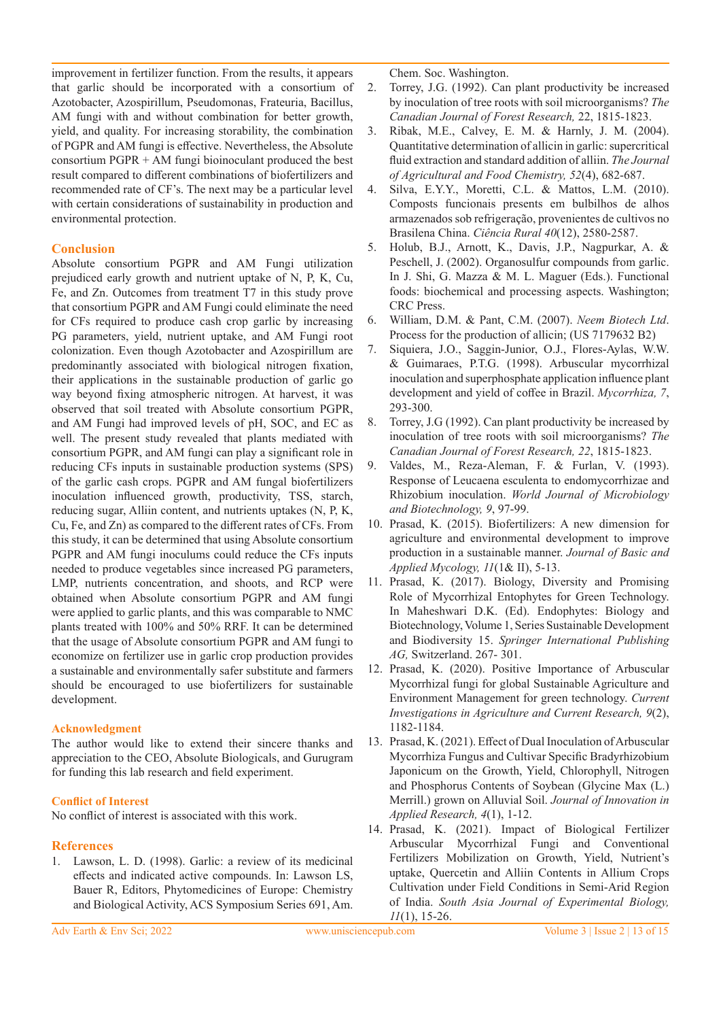improvement in fertilizer function. From the results, it appears that garlic should be incorporated with a consortium of Azotobacter, Azospirillum, Pseudomonas, Frateuria, Bacillus, AM fungi with and without combination for better growth, yield, and quality. For increasing storability, the combination of PGPR and AM fungi is effective. Nevertheless, the Absolute consortium PGPR + AM fungi bioinoculant produced the best result compared to different combinations of biofertilizers and recommended rate of CF's. The next may be a particular level with certain considerations of sustainability in production and environmental protection.

## **Conclusion**

Absolute consortium PGPR and AM Fungi utilization prejudiced early growth and nutrient uptake of N, P, K, Cu, Fe, and Zn. Outcomes from treatment T7 in this study prove that consortium PGPR and AM Fungi could eliminate the need for CFs required to produce cash crop garlic by increasing PG parameters, yield, nutrient uptake, and AM Fungi root colonization. Even though Azotobacter and Azospirillum are predominantly associated with biological nitrogen fixation, their applications in the sustainable production of garlic go way beyond fixing atmospheric nitrogen. At harvest, it was observed that soil treated with Absolute consortium PGPR, and AM Fungi had improved levels of pH, SOC, and EC as well. The present study revealed that plants mediated with consortium PGPR, and AM fungi can play a significant role in reducing CFs inputs in sustainable production systems (SPS) of the garlic cash crops. PGPR and AM fungal biofertilizers inoculation influenced growth, productivity, TSS, starch, reducing sugar, Alliin content, and nutrients uptakes (N, P, K, Cu, Fe, and Zn) as compared to the different rates of CFs. From this study, it can be determined that using Absolute consortium PGPR and AM fungi inoculums could reduce the CFs inputs needed to produce vegetables since increased PG parameters, LMP, nutrients concentration, and shoots, and RCP were obtained when Absolute consortium PGPR and AM fungi were applied to garlic plants, and this was comparable to NMC plants treated with 100% and 50% RRF. It can be determined that the usage of Absolute consortium PGPR and AM fungi to economize on fertilizer use in garlic crop production provides a sustainable and environmentally safer substitute and farmers should be encouraged to use biofertilizers for sustainable development.

## **Acknowledgment**

The author would like to extend their sincere thanks and appreciation to the CEO, Absolute Biologicals, and Gurugram for funding this lab research and field experiment.

## **Conflict of Interest**

No conflict of interest is associated with this work.

# **References**

1. Lawson, L. D. (1998). Garlic: a review of its medicinal effects and indicated active compounds. In: Lawson LS, Bauer R, Editors, Phytomedicines of Europe: Chemistry and Biological Activity, ACS Symposium Series 691, Am.

Chem. Soc. Washington.

- 2. Torrey, J.G. (1992). Can plant productivity be increased by inoculation of tree roots with soil microorganisms? *The Canadian Journal of Forest Research,* 22, 1815-1823.
- 3. Ribak, M.E., Calvey, E. M. & Harnly, J. M. (2004). Quantitative determination of allicin in garlic: supercritical fluid extraction and standard addition of alliin. *The Journal of Agricultural and Food Chemistry, 52*(4), 682-687.
- 4. Silva, E.Y.Y., Moretti, C.L. & Mattos, L.M. (2010). Composts funcionais presents em bulbilhos de alhos armazenados sob refrigeração, provenientes de cultivos no Brasilena China. *Ciência Rural 40*(12), 2580-2587.
- 5. Holub, B.J., Arnott, K., Davis, J.P., Nagpurkar, A. & Peschell, J. (2002). Organosulfur compounds from garlic. In J. Shi, G. Mazza & M. L. Maguer (Eds.). Functional foods: biochemical and processing aspects. Washington; CRC Press.
- 6. William, D.M. & Pant, C.M. (2007). *Neem Biotech Ltd*. Process for the production of allicin; (US 7179632 B2)
- 7. Siquiera, J.O., Saggin-Junior, O.J., Flores-Aylas, W.W. & Guimaraes, P.T.G. (1998). Arbuscular mycorrhizal inoculation and superphosphate application influence plant development and yield of coffee in Brazil. *Mycorrhiza, 7*, 293-300.
- 8. Torrey, J.G (1992). Can plant productivity be increased by inoculation of tree roots with soil microorganisms? *The Canadian Journal of Forest Research, 22*, 1815-1823.
- 9. Valdes, M., Reza-Aleman, F. & Furlan, V. (1993). Response of Leucaena esculenta to endomycorrhizae and Rhizobium inoculation. *World Journal of Microbiology and Biotechnology, 9*, 97-99.
- 10. Prasad, K. (2015). Biofertilizers: A new dimension for agriculture and environmental development to improve production in a sustainable manner. *Journal of Basic and Applied Mycology, 11*(1& II), 5-13.
- 11. Prasad, K. (2017). Biology, Diversity and Promising Role of Mycorrhizal Entophytes for Green Technology. In Maheshwari D.K. (Ed). Endophytes: Biology and Biotechnology, Volume 1, Series Sustainable Development and Biodiversity 15. *Springer International Publishing AG,* Switzerland. 267- 301.
- 12. Prasad, K. (2020). Positive Importance of Arbuscular Mycorrhizal fungi for global Sustainable Agriculture and Environment Management for green technology. *Current Investigations in Agriculture and Current Research, 9*(2), 1182-1184.
- 13. Prasad, K. (2021). Effect of Dual Inoculation of Arbuscular Mycorrhiza Fungus and Cultivar Specific Bradyrhizobium Japonicum on the Growth, Yield, Chlorophyll, Nitrogen and Phosphorus Contents of Soybean (Glycine Max (L.) Merrill.) grown on Alluvial Soil. *Journal of Innovation in Applied Research, 4*(1), 1-12.
- 14. Prasad, K. (2021). Impact of Biological Fertilizer Arbuscular Mycorrhizal Fungi and Conventional Fertilizers Mobilization on Growth, Yield, Nutrient's uptake, Quercetin and Alliin Contents in Allium Crops Cultivation under Field Conditions in Semi-Arid Region of India. *South Asia Journal of Experimental Biology, 11*(1), 15-26.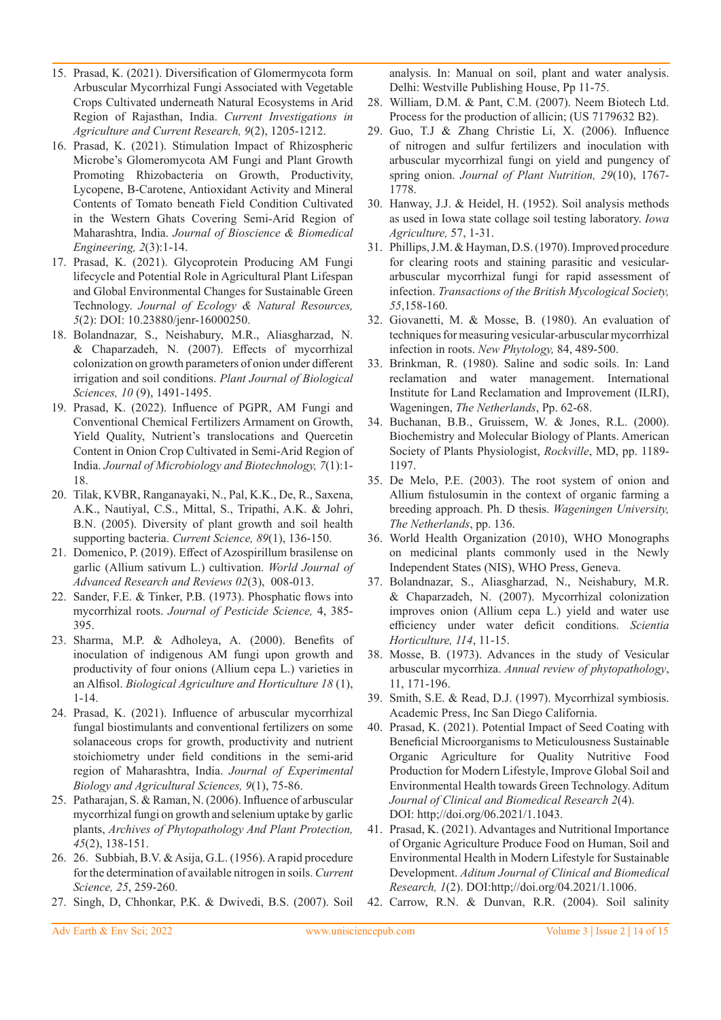- 15. Prasad, K. (2021). Diversification of Glomermycota form Arbuscular Mycorrhizal Fungi Associated with Vegetable Crops Cultivated underneath Natural Ecosystems in Arid Region of Rajasthan, India. *Current Investigations in Agriculture and Current Research, 9*(2), 1205-1212.
- 16. Prasad, K. (2021). Stimulation Impact of Rhizospheric Microbe's Glomeromycota AM Fungi and Plant Growth Promoting Rhizobacteria on Growth, Productivity, Lycopene, Β-Carotene, Antioxidant Activity and Mineral Contents of Tomato beneath Field Condition Cultivated in the Western Ghats Covering Semi-Arid Region of Maharashtra, India. *Journal of Bioscience & Biomedical Engineering, 2*(3):1-14.
- 17. Prasad, K. (2021). Glycoprotein Producing AM Fungi lifecycle and Potential Role in Agricultural Plant Lifespan and Global Environmental Changes for Sustainable Green Technology. *Journal of Ecology & Natural Resources, 5*(2): DOI: 10.23880/jenr-16000250.
- 18. Bolandnazar, S., Neishabury, M.R., Aliasgharzad, N. & Chaparzadeh, N. (2007). Effects of mycorrhizal colonization on growth parameters of onion under different irrigation and soil conditions. *Plant Journal of Biological Sciences, 10* (9), 1491-1495.
- 19. Prasad, K. (2022). Influence of PGPR, AM Fungi and Conventional Chemical Fertilizers Armament on Growth, Yield Quality, Nutrient's translocations and Quercetin Content in Onion Crop Cultivated in Semi-Arid Region of India. *Journal of Microbiology and Biotechnology, 7*(1):1- 18.
- 20. Tilak, KVBR, Ranganayaki, N., Pal, K.K., De, R., Saxena, A.K., Nautiyal, C.S., Mittal, S., Tripathi, A.K. & Johri, B.N. (2005). Diversity of plant growth and soil health supporting bacteria. *Current Science, 89*(1), 136-150.
- 21. Domenico, P. (2019). Effect of Azospirillum brasilense on garlic (Allium sativum L.) cultivation. *World Journal of Advanced Research and Reviews 02*(3), 008-013.
- 22. Sander, F.E. & Tinker, P.B. (1973). Phosphatic flows into mycorrhizal roots. *Journal of Pesticide Science,* 4, 385- 395.
- 23. Sharma, M.P. & Adholeya, A. (2000). Benefits of inoculation of indigenous AM fungi upon growth and productivity of four onions (Allium cepa L.) varieties in an Alfisol. *Biological Agriculture and Horticulture 18* (1), 1-14.
- 24. Prasad, K. (2021). Influence of arbuscular mycorrhizal fungal biostimulants and conventional fertilizers on some solanaceous crops for growth, productivity and nutrient stoichiometry under field conditions in the semi-arid region of Maharashtra, India. *Journal of Experimental Biology and Agricultural Sciences, 9*(1), 75-86.
- 25. Patharajan, S. & Raman, N. (2006). Influence of arbuscular mycorrhizal fungi on growth and selenium uptake by garlic plants, *Archives of Phytopathology And Plant Protection, 45*(2), 138-151.
- 26. 26. Subbiah, B.V. & Asija, G.L. (1956). A rapid procedure for the determination of available nitrogen in soils. *Current Science, 25*, 259-260.
- 27. Singh, D, Chhonkar, P.K. & Dwivedi, B.S. (2007). Soil

analysis. In: Manual on soil, plant and water analysis. Delhi: Westville Publishing House, Pp 11-75.

- 28. William, D.M. & Pant, C.M. (2007). Neem Biotech Ltd. Process for the production of allicin; (US 7179632 B2).
- 29. Guo, T.J & Zhang Christie Li, X. (2006). Influence of nitrogen and sulfur fertilizers and inoculation with arbuscular mycorrhizal fungi on yield and pungency of spring onion. *Journal of Plant Nutrition, 29*(10), 1767- 1778.
- 30. Hanway, J.J. & Heidel, H. (1952). Soil analysis methods as used in Iowa state collage soil testing laboratory. *Iowa Agriculture,* 57, 1-31.
- 31. Phillips, J.M. & Hayman, D.S. (1970). Improved procedure for clearing roots and staining parasitic and vesiculararbuscular mycorrhizal fungi for rapid assessment of infection. *Transactions of the British Mycological Society, 55*,158-160.
- 32. Giovanetti, M. & Mosse, B. (1980). An evaluation of techniques for measuring vesicular-arbuscular mycorrhizal infection in roots. *New Phytology,* 84, 489-500.
- 33. Brinkman, R. (1980). Saline and sodic soils. In: Land reclamation and water management. International Institute for Land Reclamation and Improvement (ILRI), Wageningen, *The Netherlands*, Pp. 62-68.
- 34. Buchanan, B.B., Gruissem, W. & Jones, R.L. (2000). Biochemistry and Molecular Biology of Plants. American Society of Plants Physiologist, *Rockville*, MD, pp. 1189- 1197.
- 35. De Melo, P.E. (2003). The root system of onion and Allium fistulosumin in the context of organic farming a breeding approach. Ph. D thesis. *Wageningen University, The Netherlands*, pp. 136.
- 36. World Health Organization (2010), WHO Monographs on medicinal plants commonly used in the Newly Independent States (NIS), WHO Press, Geneva.
- 37. Bolandnazar, S., Aliasgharzad, N., Neishabury, M.R. & Chaparzadeh, N. (2007). Mycorrhizal colonization improves onion (Allium cepa L.) yield and water use efficiency under water deficit conditions. *Scientia Horticulture, 114*, 11-15.
- 38. Mosse, B. (1973). Advances in the study of Vesicular arbuscular mycorrhiza. *Annual review of phytopathology*, 11, 171-196.
- 39. Smith, S.E. & Read, D.J. (1997). Mycorrhizal symbiosis. Academic Press, Inc San Diego California.
- 40. Prasad, K. (2021). Potential Impact of Seed Coating with Beneficial Microorganisms to Meticulousness Sustainable Organic Agriculture for Quality Nutritive Food Production for Modern Lifestyle, Improve Global Soil and Environmental Health towards Green Technology. Aditum *Journal of Clinical and Biomedical Research 2*(4). DOI: http;//doi.org/06.2021/1.1043.
- 41. Prasad, K. (2021). Advantages and Nutritional Importance of Organic Agriculture Produce Food on Human, Soil and Environmental Health in Modern Lifestyle for Sustainable Development. *Aditum Journal of Clinical and Biomedical Research, 1*(2). DOI:http;//doi.org/04.2021/1.1006.
- 42. Carrow, R.N. & Dunvan, R.R. (2004). Soil salinity